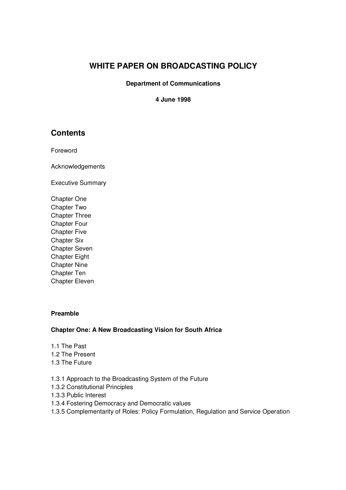# **WHITE PAPER ON BROADCASTING POLICY**

#### **Department of Communications**

## **4 June 1998**

# **Contents**

Foreword

Acknowledgements

Executive Summary

Chapter One Chapter Two Chapter Three Chapter Four Chapter Five Chapter Six Chapter Seven Chapter Eight Chapter Nine Chapter Ten Chapter Eleven

## **Preamble**

## **Chapter One: A New Broadcasting Vision for South Africa**

- 1.1 The Past
- 1.2 The Present
- 1.3 The Future
- 1.3.1 Approach to the Broadcasting System of the Future
- 1.3.2 Constitutional Principles
- 1.3.3 Public Interest
- 1.3.4 Fostering Democracy and Democratic values
- 1.3.5 Complementarity of Roles: Policy Formulation, Regulation and Service Operation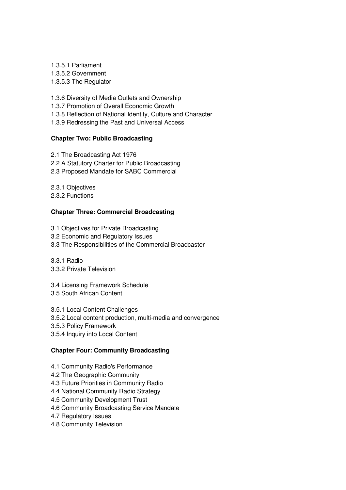1.3.5.1 Parliament 1.3.5.2 Government 1.3.5.3 The Regulator

1.3.6 Diversity of Media Outlets and Ownership

1.3.7 Promotion of Overall Economic Growth

1.3.8 Reflection of National Identity, Culture and Character

1.3.9 Redressing the Past and Universal Access

## **Chapter Two: Public Broadcasting**

2.1 The Broadcasting Act 1976

- 2.2 A Statutory Charter for Public Broadcasting
- 2.3 Proposed Mandate for SABC Commercial

2.3.1 Objectives

2.3.2 Functions

# **Chapter Three: Commercial Broadcasting**

- 3.1 Objectives for Private Broadcasting
- 3.2 Economic and Regulatory Issues
- 3.3 The Responsibilities of the Commercial Broadcaster

3.3.1 Radio

- 3.3.2 Private Television
- 3.4 Licensing Framework Schedule

3.5 South African Content

3.5.1 Local Content Challenges

- 3.5.2 Local content production, multi-media and convergence
- 3.5.3 Policy Framework
- 3.5.4 Inquiry into Local Content

## **Chapter Four: Community Broadcasting**

- 4.1 Community Radio's Performance
- 4.2 The Geographic Community
- 4.3 Future Priorities in Community Radio
- 4.4 National Community Radio Strategy
- 4.5 Community Development Trust
- 4.6 Community Broadcasting Service Mandate
- 4.7 Regulatory Issues
- 4.8 Community Television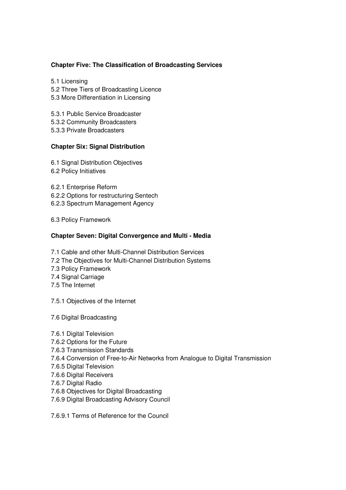## **Chapter Five: The Classification of Broadcasting Services**

- 5.1 Licensing
- 5.2 Three Tiers of Broadcasting Licence
- 5.3 More Differentiation in Licensing
- 5.3.1 Public Service Broadcaster
- 5.3.2 Community Broadcasters
- 5.3.3 Private Broadcasters

## **Chapter Six: Signal Distribution**

- 6.1 Signal Distribution Objectives
- 6.2 Policy Initiatives
- 6.2.1 Enterprise Reform
- 6.2.2 Options for restructuring Sentech
- 6.2.3 Spectrum Management Agency
- 6.3 Policy Framework

## **Chapter Seven: Digital Convergence and Multi - Media**

- 7.1 Cable and other Multi-Channel Distribution Services
- 7.2 The Objectives for Multi-Channel Distribution Systems
- 7.3 Policy Framework
- 7.4 Signal Carriage
- 7.5 The Internet
- 7.5.1 Objectives of the Internet
- 7.6 Digital Broadcasting
- 7.6.1 Digital Television
- 7.6.2 Options for the Future
- 7.6.3 Transmission Standards
- 7.6.4 Conversion of Free-to-Air Networks from Analogue to Digital Transmission
- 7.6.5 Digital Television
- 7.6.6 Digital Receivers
- 7.6.7 Digital Radio
- 7.6.8 Objectives for Digital Broadcasting
- 7.6.9 Digital Broadcasting Advisory Council
- 7.6.9.1 Terms of Reference for the Council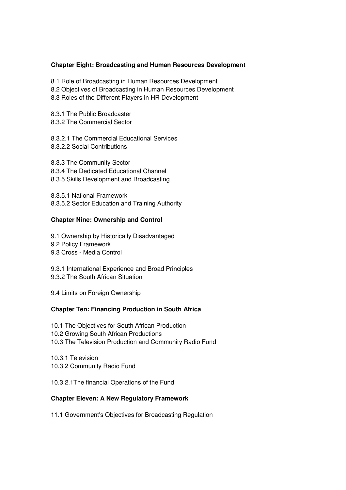## **Chapter Eight: Broadcasting and Human Resources Development**

- 8.1 Role of Broadcasting in Human Resources Development
- 8.2 Objectives of Broadcasting in Human Resources Development
- 8.3 Roles of the Different Players in HR Development
- 8.3.1 The Public Broadcaster
- 8.3.2 The Commercial Sector
- 8.3.2.1 The Commercial Educational Services 8.3.2.2 Social Contributions
- 8.3.3 The Community Sector
- 8.3.4 The Dedicated Educational Channel
- 8.3.5 Skills Development and Broadcasting
- 8.3.5.1 National Framework
- 8.3.5.2 Sector Education and Training Authority

## **Chapter Nine: Ownership and Control**

- 9.1 Ownership by Historically Disadvantaged
- 9.2 Policy Framework
- 9.3 Cross Media Control
- 9.3.1 International Experience and Broad Principles
- 9.3.2 The South African Situation
- 9.4 Limits on Foreign Ownership

## **Chapter Ten: Financing Production in South Africa**

- 10.1 The Objectives for South African Production
- 10.2 Growing South African Productions
- 10.3 The Television Production and Community Radio Fund

10.3.1 Television 10.3.2 Community Radio Fund

10.3.2.1The financial Operations of the Fund

# **Chapter Eleven: A New Regulatory Framework**

11.1 Government's Objectives for Broadcasting Regulation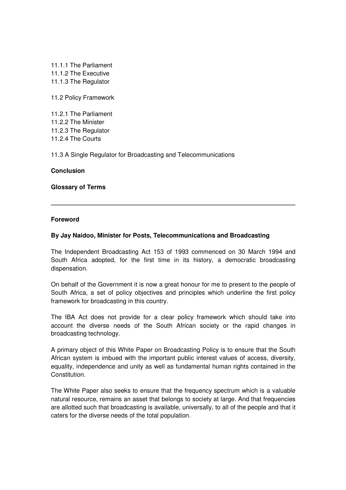11.1.1 The Parliament 11.1.2 The Executive 11.1.3 The Regulator

11.2 Policy Framework

11.2.1 The Parliament 11.2.2 The Minister 11.2.3 The Regulator 11.2.4 The Courts

11.3 A Single Regulator for Broadcasting and Telecommunications

#### **Conclusion**

**Glossary of Terms**

#### **Foreword**

#### **By Jay Naidoo, Minister for Posts, Telecommunications and Broadcasting**

The Independent Broadcasting Act 153 of 1993 commenced on 30 March 1994 and South Africa adopted, for the first time in its history, a democratic broadcasting dispensation.

On behalf of the Government it is now a great honour for me to present to the people of South Africa, a set of policy objectives and principles which underline the first policy framework for broadcasting in this country.

The IBA Act does not provide for a clear policy framework which should take into account the diverse needs of the South African society or the rapid changes in broadcasting technology.

A primary object of this White Paper on Broadcasting Policy is to ensure that the South African system is imbued with the important public interest values of access, diversity, equality, independence and unity as well as fundamental human rights contained in the **Constitution** 

The White Paper also seeks to ensure that the frequency spectrum which is a valuable natural resource, remains an asset that belongs to society at large. And that frequencies are allotted such that broadcasting is available, universally, to all of the people and that it caters for the diverse needs of the total population.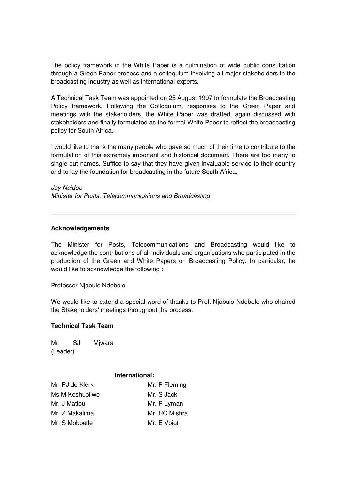The policy framework in the White Paper is a culmination of wide public consultation through a Green Paper process and a colloquium involving all major stakeholders in the broadcasting industry as well as international experts.

A Technical Task Team was appointed on 25 August 1997 to formulate the Broadcasting Policy framework. Following the Colloquium, responses to the Green Paper and meetings with the stakeholders, the White Paper was drafted, again discussed with stakeholders and finally formulated as the formal White Paper to reflect the broadcasting policy for South Africa.

I would like to thank the many people who gave so much of their time to contribute to the formulation of this extremely important and historical document. There are too many to single out names. Suffice to say that they have given invaluable service to their country and to lay the foundation for broadcasting in the future South Africa.

Jay Naidoo Minister for Posts, Telecommunications and Broadcasting

#### **Acknowledgements**

The Minister for Posts, Telecommunications and Broadcasting would like to acknowledge the contributions of all individuals and organisations who participated in the production of the Green and White Papers on Broadcasting Policy. In particular, he would like to acknowledge the following :

Professor Njabulo Ndebele

We would like to extend a special word of thanks to Prof. Njabulo Ndebele who chaired the Stakeholders' meetings throughout the process.

## **Technical Task Team**

Mr. SJ Miwara (Leader)

#### **International:**

| Mr. PJ de Klerk | Mr. P Fleming |
|-----------------|---------------|
| Ms M Keshupilwe | Mr. S Jack    |
| Mr. J Matlou    | Mr. P Lyman   |
| Mr. Z Makalima  | Mr. RC Mishra |
| Mr. S Mokoetle  | Mr. E Voigt   |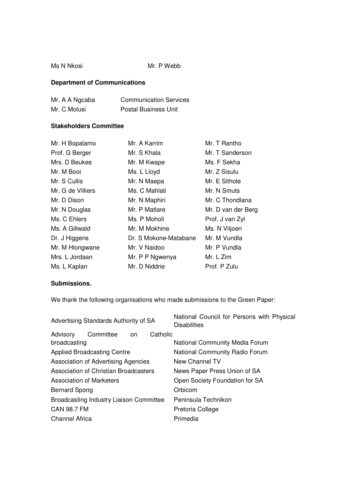#### Ms N Nkosi Mr. P Webb

# **Department of Communications**

| Mr. A A Ngcaba | <b>Communication Services</b> |
|----------------|-------------------------------|
| Mr. C Molusi   | <b>Postal Business Unit</b>   |

# **Stakeholders Committee**

| Mr. H Bopalamo    | Mr. A Karrim          | Mr. T Rantho       |
|-------------------|-----------------------|--------------------|
| Prof. G Berger    | Mr. S Khala           | Mr. T Sanderson    |
| Mrs. D Beukes     | Mr. M Kwape           | Ms. F Sekha        |
| Mr. M Booi        | Ms. L Lloyd           | Mr. Z Sisulu       |
| Mr. S Cullis      | Mr. N Maepa           | Mr. E Sithole      |
| Mr. G de Villiers | Ms. C Mahlati         | Mr. N Smuts        |
| Mr. D Dison       | Mr. N Maphiri         | Mr. C Thondlana    |
| Mr. N Douglas     | Mr. P Matlare         | Mr. D van der Berg |
| Ms. C Ehlers      | Ms. P Moholi          | Prof. J van Zyl    |
| Ms. A Gillwald    | Mr. M Mokhine         | Ms. N Viljoen      |
| Dr. J Higgens     | Dr. S Mokone-Matabane | Mr. M Vundla       |
| Mr. M Hlongwane   | Mr. V Naidoo          | Mr. P Vundla       |
| Mrs. L Jordaan    | Mr. P P Ngwenya       | Mr. L Zim          |
| Ms. L Kaplan      | Mr. D Niddrie         | Prof. P Zulu       |

## **Submissions.**

We thank the following organisations who made submissions to the Green Paper:

| Advertising Standards Authority of SA          | National Council for Persons with Physical<br><b>Disabilities</b> |
|------------------------------------------------|-------------------------------------------------------------------|
| Catholic<br>Advisory<br>Committee<br>on.       |                                                                   |
| broadcasting                                   | <b>National Community Media Forum</b>                             |
| <b>Applied Broadcasting Centre</b>             | National Community Radio Forum                                    |
| Association of Advertising Agencies            | New Channel TV                                                    |
| Association of Christian Broadcasters          | News Paper Press Union of SA                                      |
| Association of Marketers                       | Open Society Foundation for SA                                    |
| <b>Bernard Spong</b>                           | Orbicom                                                           |
| <b>Broadcasting Industry Liaison Committee</b> | Peninsula Technikon                                               |
| <b>CAN 98.7 FM</b>                             | Pretoria College                                                  |
| <b>Channel Africa</b>                          | Primedia                                                          |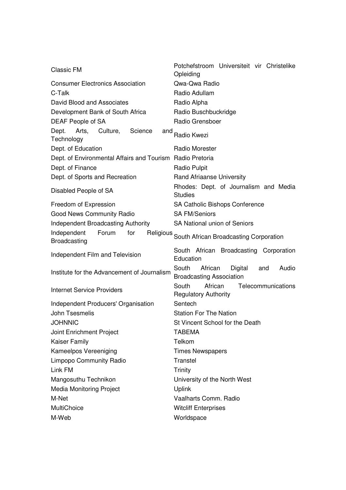| <b>Classic FM</b>                                         | Potchefstroom Universiteit vir Christelike<br>Opleiding                        |
|-----------------------------------------------------------|--------------------------------------------------------------------------------|
| <b>Consumer Electronics Association</b>                   | Qwa-Qwa Radio                                                                  |
| C-Talk                                                    | Radio Adullam                                                                  |
| David Blood and Associates                                | Radio Alpha                                                                    |
| Development Bank of South Africa                          | Radio Buschbuckridge                                                           |
| DEAF People of SA                                         | Radio Grensboer                                                                |
| Dept.<br>Arts, Culture,<br>Science<br>and<br>Technology   | Radio Kwezi                                                                    |
| Dept. of Education                                        | Radio Morester                                                                 |
| Dept. of Environmental Affairs and Tourism Radio Pretoria |                                                                                |
| Dept. of Finance                                          | Radio Pulpit                                                                   |
| Dept. of Sports and Recreation                            | <b>Rand Afriaanse University</b>                                               |
| Disabled People of SA                                     | Rhodes: Dept. of Journalism and Media<br><b>Studies</b>                        |
| Freedom of Expression                                     | <b>SA Catholic Bishops Conference</b>                                          |
| Good News Community Radio                                 | <b>SA FM/Seniors</b>                                                           |
| <b>Independent Broadcasting Authority</b>                 | <b>SA National union of Seniors</b>                                            |
| Independent<br>Forum<br>for<br>Religious<br>Broadcasting  | South African Broadcasting Corporation                                         |
|                                                           |                                                                                |
| Independent Film and Television                           | South African Broadcasting Corporation<br>Education                            |
| Institute for the Advancement of Journalism               | African<br>Digital<br>South<br>Audio<br>and<br><b>Broadcasting Association</b> |
| <b>Internet Service Providers</b>                         | South<br>African<br>Telecommunications<br><b>Regulatory Authority</b>          |
| Independent Producers' Organisation                       | Sentech                                                                        |
| John Tsesmelis                                            | <b>Station For The Nation</b>                                                  |
| <b>JOHNNIC</b>                                            | St Vincent School for the Death                                                |
| Joint Enrichment Project                                  | <b>TABEMA</b>                                                                  |
| <b>Kaiser Family</b>                                      | Telkom                                                                         |
| Kameelpos Vereeniging                                     | <b>Times Newspapers</b>                                                        |
| <b>Limpopo Community Radio</b>                            | Transtel                                                                       |
| Link FM                                                   | <b>Trinity</b>                                                                 |
| Mangosuthu Technikon                                      | University of the North West                                                   |
| <b>Media Monitoring Project</b>                           | <b>Uplink</b>                                                                  |
| M-Net                                                     | Vaalharts Comm. Radio                                                          |
| <b>MultiChoice</b>                                        | <b>Witcliff Enterprises</b>                                                    |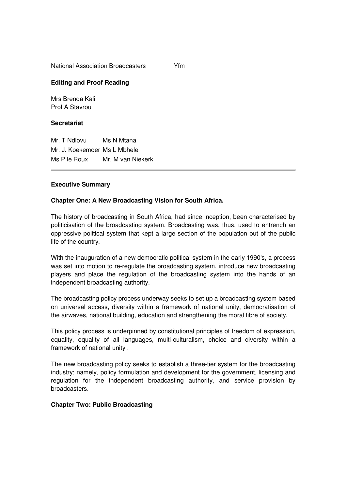National Association Broadcasters Yfm

## **Editing and Proof Reading**

Mrs Brenda Kali Prof A Stavrou

## **Secretariat**

Mr. T Ndlovu Ms N Mtana Mr. J. Koekemoer Ms L Mbhele Ms P le Roux Mr. M van Niekerk

## **Executive Summary**

## **Chapter One: A New Broadcasting Vision for South Africa.**

The history of broadcasting in South Africa, had since inception, been characterised by politicisation of the broadcasting system. Broadcasting was, thus, used to entrench an oppressive political system that kept a large section of the population out of the public life of the country.

With the inauguration of a new democratic political system in the early 1990's, a process was set into motion to re-regulate the broadcasting system, introduce new broadcasting players and place the regulation of the broadcasting system into the hands of an independent broadcasting authority.

The broadcasting policy process underway seeks to set up a broadcasting system based on universal access, diversity within a framework of national unity, democratisation of the airwaves, national building, education and strengthening the moral fibre of society.

This policy process is underpinned by constitutional principles of freedom of expression, equality, equality of all languages, multi-culturalism, choice and diversity within a framework of national unity .

The new broadcasting policy seeks to establish a three-tier system for the broadcasting industry; namely, policy formulation and development for the government, licensing and regulation for the independent broadcasting authority, and service provision by broadcasters.

## **Chapter Two: Public Broadcasting**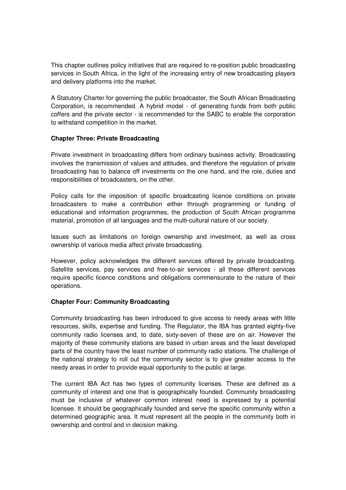This chapter outlines policy initiatives that are required to re-position public broadcasting services in South Africa, in the light of the increasing entry of new broadcasting players and delivery platforms into the market.

A Statutory Charter for governing the public broadcaster, the South African Broadcasting Corporation, is recommended. A hybrid model - of generating funds from both public coffers and the private sector - is recommended for the SABC to enable the corporation to withstand competition in the market.

## **Chapter Three: Private Broadcasting**

Private investment in broadcasting differs from ordinary business activity. Broadcasting involves the transmission of values and attitudes, and therefore the regulation of private broadcasting has to balance off investments on the one hand, and the role, duties and responsibilities of broadcasters, on the other.

Policy calls for the imposition of specific broadcasting licence conditions on private broadcasters to make a contribution either through programming or funding of educational and information programmes, the production of South African programme material, promotion of all languages and the multi-cultural nature of our society.

Issues such as limitations on foreign ownership and investment, as well as cross ownership of various media affect private broadcasting.

However, policy acknowledges the different services offered by private broadcasting. Satellite services, pay services and free-to-air services - all these different services require specific licence conditions and obligations commensurate to the nature of their operations.

## **Chapter Four: Community Broadcasting**

Community broadcasting has been introduced to give access to needy areas with little resources, skills, expertise and funding. The Regulator, the IBA has granted eighty-five community radio licenses and, to date, sixty-seven of these are on air. However the majority of these community stations are based in urban areas and the least developed parts of the country have the least number of community radio stations. The challenge of the national strategy to roll out the community sector is to give greater access to the needy areas in order to provide equal opportunity to the public at large.

The current IBA Act has two types of community licenses. These are defined as a community of interest and one that is geographically founded. Community broadcasting must be inclusive of whatever common interest need is expressed by a potential licensee. It should be geographically founded and serve the specific community within a determined geographic area. It must represent all the people in the community both in ownership and control and in decision making.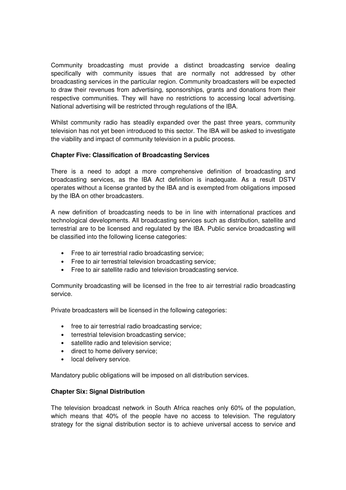Community broadcasting must provide a distinct broadcasting service dealing specifically with community issues that are normally not addressed by other broadcasting services in the particular region. Community broadcasters will be expected to draw their revenues from advertising, sponsorships, grants and donations from their respective communities. They will have no restrictions to accessing local advertising. National advertising will be restricted through regulations of the IBA.

Whilst community radio has steadily expanded over the past three years, community television has not yet been introduced to this sector. The IBA will be asked to investigate the viability and impact of community television in a public process.

## **Chapter Five: Classification of Broadcasting Services**

There is a need to adopt a more comprehensive definition of broadcasting and broadcasting services, as the IBA Act definition is inadequate. As a result DSTV operates without a license granted by the IBA and is exempted from obligations imposed by the IBA on other broadcasters.

A new definition of broadcasting needs to be in line with international practices and technological developments. All broadcasting services such as distribution, satellite and terrestrial are to be licensed and regulated by the IBA. Public service broadcasting will be classified into the following license categories:

- Free to air terrestrial radio broadcasting service;
- Free to air terrestrial television broadcasting service;
- Free to air satellite radio and television broadcasting service.

Community broadcasting will be licensed in the free to air terrestrial radio broadcasting service.

Private broadcasters will be licensed in the following categories:

- free to air terrestrial radio broadcasting service;
- terrestrial television broadcasting service;
- satellite radio and television service;
- direct to home delivery service;
- local delivery service.

Mandatory public obligations will be imposed on all distribution services.

## **Chapter Six: Signal Distribution**

The television broadcast network in South Africa reaches only 60% of the population, which means that 40% of the people have no access to television. The regulatory strategy for the signal distribution sector is to achieve universal access to service and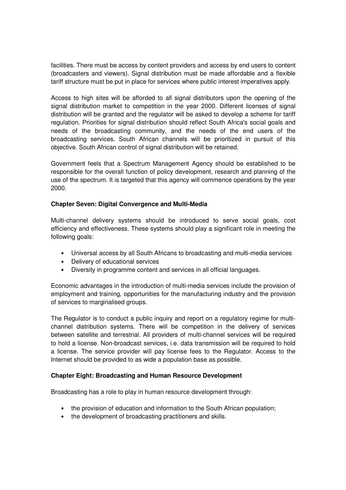facilities. There must be access by content providers and access by end users to content (broadcasters and viewers). Signal distribution must be made affordable and a flexible tariff structure must be put in place for services where public interest imperatives apply.

Access to high sites will be afforded to all signal distributors upon the opening of the signal distribution market to competition in the year 2000. Different licenses of signal distribution will be granted and the regulator will be asked to develop a scheme for tariff regulation. Priorities for signal distribution should reflect South Africa's social goals and needs of the broadcasting community, and the needs of the end users of the broadcasting services. South African channels will be prioritized in pursuit of this objective. South African control of signal distribution will be retained.

Government feels that a Spectrum Management Agency should be established to be responsible for the overall function of policy development, research and planning of the use of the spectrum. It is targeted that this agency will commence operations by the year 2000.

## **Chapter Seven: Digital Convergence and Multi-Media**

Multi-channel delivery systems should be introduced to serve social goals, cost efficiency and effectiveness. These systems should play a significant role in meeting the following goals:

- Universal access by all South Africans to broadcasting and multi-media services
- Delivery of educational services
- Diversity in programme content and services in all official languages.

Economic advantages in the introduction of multi-media services include the provision of employment and training, opportunities for the manufacturing industry and the provision of services to marginalised groups.

The Regulator is to conduct a public inquiry and report on a regulatory regime for multichannel distribution systems. There will be competition in the delivery of services between satellite and terrestrial. All providers of multi-channel services will be required to hold a license. Non-broadcast services, i.e. data transmission will be required to hold a license. The service provider will pay license fees to the Regulator. Access to the Internet should be provided to as wide a population base as possible.

## **Chapter Eight: Broadcasting and Human Resource Development**

Broadcasting has a role to play in human resource development through:

- the provision of education and information to the South African population;
- the development of broadcasting practitioners and skills.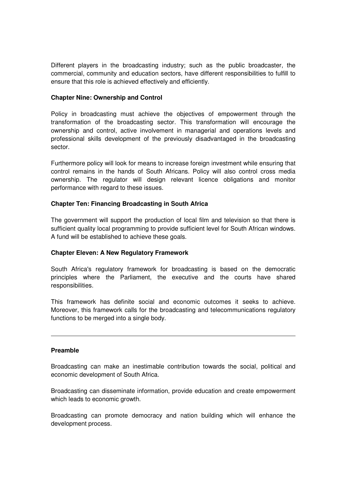Different players in the broadcasting industry; such as the public broadcaster, the commercial, community and education sectors, have different responsibilities to fulfill to ensure that this role is achieved effectively and efficiently.

#### **Chapter Nine: Ownership and Control**

Policy in broadcasting must achieve the objectives of empowerment through the transformation of the broadcasting sector. This transformation will encourage the ownership and control, active involvement in managerial and operations levels and professional skills development of the previously disadvantaged in the broadcasting sector.

Furthermore policy will look for means to increase foreign investment while ensuring that control remains in the hands of South Africans. Policy will also control cross media ownership. The regulator will design relevant licence obligations and monitor performance with regard to these issues.

## **Chapter Ten: Financing Broadcasting in South Africa**

The government will support the production of local film and television so that there is sufficient quality local programming to provide sufficient level for South African windows. A fund will be established to achieve these goals.

## **Chapter Eleven: A New Regulatory Framework**

South Africa's regulatory framework for broadcasting is based on the democratic principles where the Parliament, the executive and the courts have shared responsibilities.

This framework has definite social and economic outcomes it seeks to achieve. Moreover, this framework calls for the broadcasting and telecommunications regulatory functions to be merged into a single body.

#### **Preamble**

Broadcasting can make an inestimable contribution towards the social, political and economic development of South Africa.

Broadcasting can disseminate information, provide education and create empowerment which leads to economic growth.

Broadcasting can promote democracy and nation building which will enhance the development process.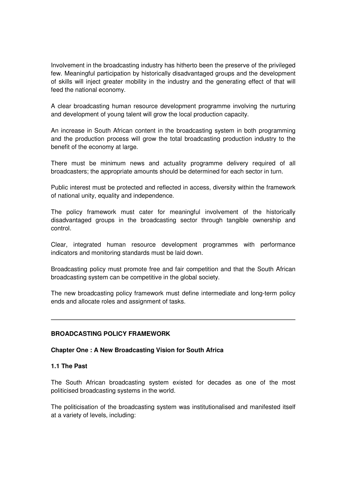Involvement in the broadcasting industry has hitherto been the preserve of the privileged few. Meaningful participation by historically disadvantaged groups and the development of skills will inject greater mobility in the industry and the generating effect of that will feed the national economy.

A clear broadcasting human resource development programme involving the nurturing and development of young talent will grow the local production capacity.

An increase in South African content in the broadcasting system in both programming and the production process will grow the total broadcasting production industry to the benefit of the economy at large.

There must be minimum news and actuality programme delivery required of all broadcasters; the appropriate amounts should be determined for each sector in turn.

Public interest must be protected and reflected in access, diversity within the framework of national unity, equality and independence.

The policy framework must cater for meaningful involvement of the historically disadvantaged groups in the broadcasting sector through tangible ownership and control.

Clear, integrated human resource development programmes with performance indicators and monitoring standards must be laid down.

Broadcasting policy must promote free and fair competition and that the South African broadcasting system can be competitive in the global society.

The new broadcasting policy framework must define intermediate and long-term policy ends and allocate roles and assignment of tasks.

## **BROADCASTING POLICY FRAMEWORK**

#### **Chapter One : A New Broadcasting Vision for South Africa**

#### **1.1 The Past**

The South African broadcasting system existed for decades as one of the most politicised broadcasting systems in the world.

The politicisation of the broadcasting system was institutionalised and manifested itself at a variety of levels, including: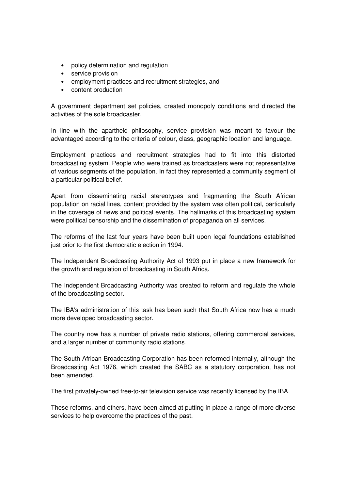- policy determination and regulation
- service provision
- employment practices and recruitment strategies, and
- content production

A government department set policies, created monopoly conditions and directed the activities of the sole broadcaster.

In line with the apartheid philosophy, service provision was meant to favour the advantaged according to the criteria of colour, class, geographic location and language.

Employment practices and recruitment strategies had to fit into this distorted broadcasting system. People who were trained as broadcasters were not representative of various segments of the population. In fact they represented a community segment of a particular political belief.

Apart from disseminating racial stereotypes and fragmenting the South African population on racial lines, content provided by the system was often political, particularly in the coverage of news and political events. The hallmarks of this broadcasting system were political censorship and the dissemination of propaganda on all services.

The reforms of the last four years have been built upon legal foundations established just prior to the first democratic election in 1994.

The Independent Broadcasting Authority Act of 1993 put in place a new framework for the growth and regulation of broadcasting in South Africa.

The Independent Broadcasting Authority was created to reform and regulate the whole of the broadcasting sector.

The IBA's administration of this task has been such that South Africa now has a much more developed broadcasting sector.

The country now has a number of private radio stations, offering commercial services, and a larger number of community radio stations.

The South African Broadcasting Corporation has been reformed internally, although the Broadcasting Act 1976, which created the SABC as a statutory corporation, has not been amended.

The first privately-owned free-to-air television service was recently licensed by the IBA.

These reforms, and others, have been aimed at putting in place a range of more diverse services to help overcome the practices of the past.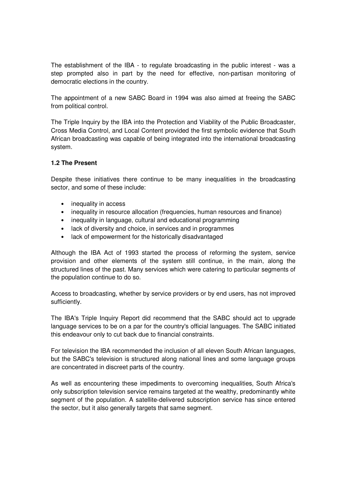The establishment of the IBA - to regulate broadcasting in the public interest - was a step prompted also in part by the need for effective, non-partisan monitoring of democratic elections in the country.

The appointment of a new SABC Board in 1994 was also aimed at freeing the SABC from political control.

The Triple Inquiry by the IBA into the Protection and Viability of the Public Broadcaster, Cross Media Control, and Local Content provided the first symbolic evidence that South African broadcasting was capable of being integrated into the international broadcasting system.

## **1.2 The Present**

Despite these initiatives there continue to be many inequalities in the broadcasting sector, and some of these include:

- inequality in access
- inequality in resource allocation (frequencies, human resources and finance)
- inequality in language, cultural and educational programming
- lack of diversity and choice, in services and in programmes
- lack of empowerment for the historically disadvantaged

Although the IBA Act of 1993 started the process of reforming the system, service provision and other elements of the system still continue, in the main, along the structured lines of the past. Many services which were catering to particular segments of the population continue to do so.

Access to broadcasting, whether by service providers or by end users, has not improved sufficiently.

The IBA's Triple Inquiry Report did recommend that the SABC should act to upgrade language services to be on a par for the country's official languages. The SABC initiated this endeavour only to cut back due to financial constraints.

For television the IBA recommended the inclusion of all eleven South African languages, but the SABC's television is structured along national lines and some language groups are concentrated in discreet parts of the country.

As well as encountering these impediments to overcoming inequalities, South Africa's only subscription television service remains targeted at the wealthy, predominantly white segment of the population. A satellite-delivered subscription service has since entered the sector, but it also generally targets that same segment.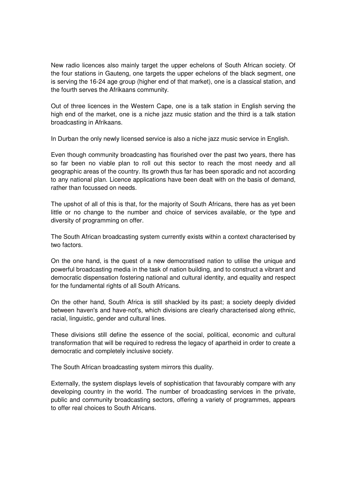New radio licences also mainly target the upper echelons of South African society. Of the four stations in Gauteng, one targets the upper echelons of the black segment, one is serving the 16-24 age group (higher end of that market), one is a classical station, and the fourth serves the Afrikaans community.

Out of three licences in the Western Cape, one is a talk station in English serving the high end of the market, one is a niche jazz music station and the third is a talk station broadcasting in Afrikaans.

In Durban the only newly licensed service is also a niche jazz music service in English.

Even though community broadcasting has flourished over the past two years, there has so far been no viable plan to roll out this sector to reach the most needy and all geographic areas of the country. Its growth thus far has been sporadic and not according to any national plan. Licence applications have been dealt with on the basis of demand, rather than focussed on needs.

The upshot of all of this is that, for the majority of South Africans, there has as yet been little or no change to the number and choice of services available, or the type and diversity of programming on offer.

The South African broadcasting system currently exists within a context characterised by two factors.

On the one hand, is the quest of a new democratised nation to utilise the unique and powerful broadcasting media in the task of nation building, and to construct a vibrant and democratic dispensation fostering national and cultural identity, and equality and respect for the fundamental rights of all South Africans.

On the other hand, South Africa is still shackled by its past; a society deeply divided between haven's and have-not's, which divisions are clearly characterised along ethnic, racial, linguistic, gender and cultural lines.

These divisions still define the essence of the social, political, economic and cultural transformation that will be required to redress the legacy of apartheid in order to create a democratic and completely inclusive society.

The South African broadcasting system mirrors this duality.

Externally, the system displays levels of sophistication that favourably compare with any developing country in the world. The number of broadcasting services in the private, public and community broadcasting sectors, offering a variety of programmes, appears to offer real choices to South Africans.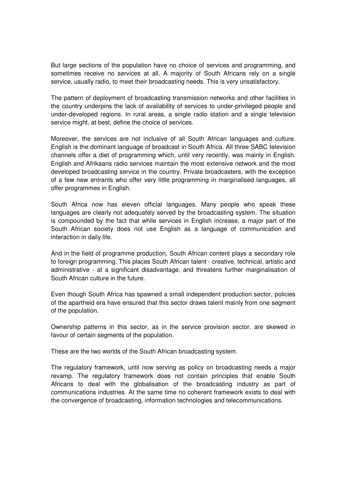But large sections of the population have no choice of services and programming, and sometimes receive no services at all. A majority of South Africans rely on a single service, usually radio, to meet their broadcasting needs. This is very unsatisfactory.

The pattern of deployment of broadcasting transmission networks and other facilities in the country underpins the lack of availability of services to under-privileged people and under-developed regions. In rural areas, a single radio station and a single television service might, at best, define the choice of services.

Moreover, the services are not inclusive of all South African languages and culture. English is the dominant language of broadcast in South Africa. All three SABC television channels offer a diet of programming which, until very recently, was mainly in English. English and Afrikaans radio services maintain the most extensive network and the most developed broadcasting service in the country. Private broadcasters, with the exception of a few new entrants who offer very little programming in marginalised languages, all offer programmes in English.

South Africa now has eleven official languages. Many people who speak these languages are clearly not adequately served by the broadcasting system. The situation is compounded by the fact that while services in English increase, a major part of the South African society does not use English as a language of communication and interaction in daily life.

And in the field of programme production, South African content plays a secondary role to foreign programming. This places South African talent - creative, technical, artistic and administrative - at a significant disadvantage, and threatens further marginalisation of South African culture in the future.

Even though South Africa has spawned a small independent production sector, policies of the apartheid era have ensured that this sector draws talent mainly from one segment of the population.

Ownership patterns in this sector, as in the service provision sector, are skewed in favour of certain segments of the population.

These are the two worlds of the South African broadcasting system.

The regulatory framework, until now serving as policy on broadcasting needs a major revamp. The regulatory framework does not contain principles that enable South Africans to deal with the globalisation of the broadcasting industry as part of communications industries. At the same time no coherent framework exists to deal with the convergence of broadcasting, information technologies and telecommunications.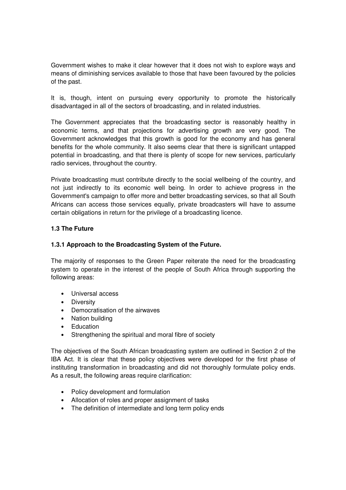Government wishes to make it clear however that it does not wish to explore ways and means of diminishing services available to those that have been favoured by the policies of the past.

It is, though, intent on pursuing every opportunity to promote the historically disadvantaged in all of the sectors of broadcasting, and in related industries.

The Government appreciates that the broadcasting sector is reasonably healthy in economic terms, and that projections for advertising growth are very good. The Government acknowledges that this growth is good for the economy and has general benefits for the whole community. It also seems clear that there is significant untapped potential in broadcasting, and that there is plenty of scope for new services, particularly radio services, throughout the country.

Private broadcasting must contribute directly to the social wellbeing of the country, and not just indirectly to its economic well being. In order to achieve progress in the Government's campaign to offer more and better broadcasting services, so that all South Africans can access those services equally, private broadcasters will have to assume certain obligations in return for the privilege of a broadcasting licence.

## **1.3 The Future**

## **1.3.1 Approach to the Broadcasting System of the Future.**

The majority of responses to the Green Paper reiterate the need for the broadcasting system to operate in the interest of the people of South Africa through supporting the following areas:

- Universal access
- Diversity
- Democratisation of the airwaves
- Nation building
- Education
- Strengthening the spiritual and moral fibre of society

The objectives of the South African broadcasting system are outlined in Section 2 of the IBA Act. It is clear that these policy objectives were developed for the first phase of instituting transformation in broadcasting and did not thoroughly formulate policy ends. As a result, the following areas require clarification:

- Policy development and formulation
- Allocation of roles and proper assignment of tasks
- The definition of intermediate and long term policy ends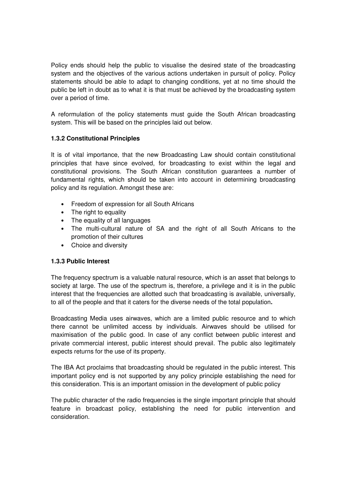Policy ends should help the public to visualise the desired state of the broadcasting system and the objectives of the various actions undertaken in pursuit of policy. Policy statements should be able to adapt to changing conditions, yet at no time should the public be left in doubt as to what it is that must be achieved by the broadcasting system over a period of time.

A reformulation of the policy statements must guide the South African broadcasting system. This will be based on the principles laid out below.

# **1.3.2 Constitutional Principles**

It is of vital importance, that the new Broadcasting Law should contain constitutional principles that have since evolved, for broadcasting to exist within the legal and constitutional provisions. The South African constitution guarantees a number of fundamental rights, which should be taken into account in determining broadcasting policy and its regulation. Amongst these are:

- Freedom of expression for all South Africans
- The right to equality
- The equality of all languages
- The multi-cultural nature of SA and the right of all South Africans to the promotion of their cultures
- Choice and diversity

## **1.3.3 Public Interest**

The frequency spectrum is a valuable natural resource, which is an asset that belongs to society at large. The use of the spectrum is, therefore, a privilege and it is in the public interest that the frequencies are allotted such that broadcasting is available, universally, to all of the people and that it caters for the diverse needs of the total population**.** 

Broadcasting Media uses airwaves, which are a limited public resource and to which there cannot be unlimited access by individuals. Airwaves should be utilised for maximisation of the public good. In case of any conflict between public interest and private commercial interest, public interest should prevail. The public also legitimately expects returns for the use of its property.

The IBA Act proclaims that broadcasting should be regulated in the public interest. This important policy end is not supported by any policy principle establishing the need for this consideration. This is an important omission in the development of public policy

The public character of the radio frequencies is the single important principle that should feature in broadcast policy, establishing the need for public intervention and consideration.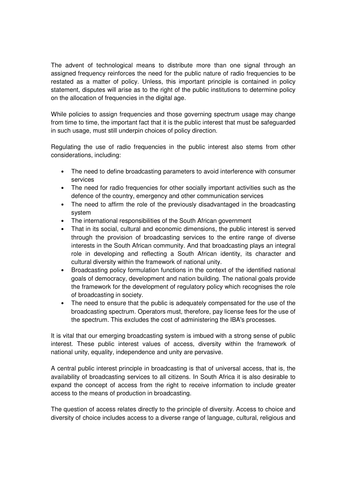The advent of technological means to distribute more than one signal through an assigned frequency reinforces the need for the public nature of radio frequencies to be restated as a matter of policy. Unless, this important principle is contained in policy statement, disputes will arise as to the right of the public institutions to determine policy on the allocation of frequencies in the digital age.

While policies to assign frequencies and those governing spectrum usage may change from time to time, the important fact that it is the public interest that must be safeguarded in such usage, must still underpin choices of policy direction.

Regulating the use of radio frequencies in the public interest also stems from other considerations, including:

- The need to define broadcasting parameters to avoid interference with consumer services
- The need for radio frequencies for other socially important activities such as the defence of the country, emergency and other communication services
- The need to affirm the role of the previously disadvantaged in the broadcasting system
- The international responsibilities of the South African government
- That in its social, cultural and economic dimensions, the public interest is served through the provision of broadcasting services to the entire range of diverse interests in the South African community. And that broadcasting plays an integral role in developing and reflecting a South African identity, its character and cultural diversity within the framework of national unity.
- Broadcasting policy formulation functions in the context of the identified national goals of democracy, development and nation building. The national goals provide the framework for the development of regulatory policy which recognises the role of broadcasting in society.
- The need to ensure that the public is adequately compensated for the use of the broadcasting spectrum. Operators must, therefore, pay license fees for the use of the spectrum. This excludes the cost of administering the IBA's processes.

It is vital that our emerging broadcasting system is imbued with a strong sense of public interest. These public interest values of access, diversity within the framework of national unity, equality, independence and unity are pervasive.

A central public interest principle in broadcasting is that of universal access, that is, the availability of broadcasting services to all citizens. In South Africa it is also desirable to expand the concept of access from the right to receive information to include greater access to the means of production in broadcasting.

The question of access relates directly to the principle of diversity. Access to choice and diversity of choice includes access to a diverse range of language, cultural, religious and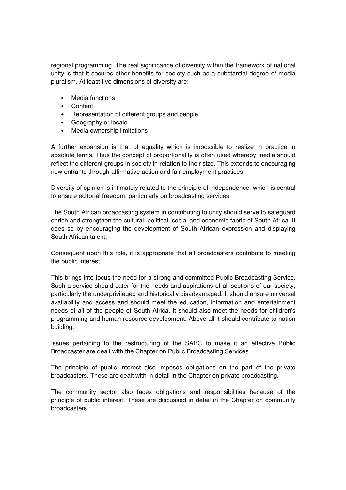regional programming. The real significance of diversity within the framework of national unity is that it secures other benefits for society such as a substantial degree of media pluralism. At least five dimensions of diversity are:

- Media functions
- Content
- Representation of different groups and people
- Geography or locale
- Media ownership limitations

A further expansion is that of equality which is impossible to realize in practice in absolute terms. Thus the concept of proportionality is often used whereby media should reflect the different groups in society in relation to their size. This extends to encouraging new entrants through affirmative action and fair employment practices.

Diversity of opinion is intimately related to the principle of independence, which is central to ensure editorial freedom, particularly on broadcasting services.

The South African broadcasting system in contributing to unity should serve to safeguard enrich and strengthen the cultural, political, social and economic fabric of South Africa. It does so by encouraging the development of South African expression and displaying South African talent.

Consequent upon this role, it is appropriate that all broadcasters contribute to meeting the public interest.

This brings into focus the need for a strong and committed Public Broadcasting Service. Such a service should cater for the needs and aspirations of all sections of our society, particularly the underprivileged and historically disadvantaged. It should ensure universal availability and access and should meet the education, information and entertainment needs of all of the people of South Africa. It should also meet the needs for children's programming and human resource development. Above all it should contribute to nation building.

Issues pertaining to the restructuring of the SABC to make it an effective Public Broadcaster are dealt with the Chapter on Public Broadcasting Services.

The principle of public interest also imposes obligations on the part of the private broadcasters. These are dealt with in detail in the Chapter on private broadcasting.

The community sector also faces obligations and responsibilities because of the principle of public interest. These are discussed in detail in the Chapter on community broadcasters.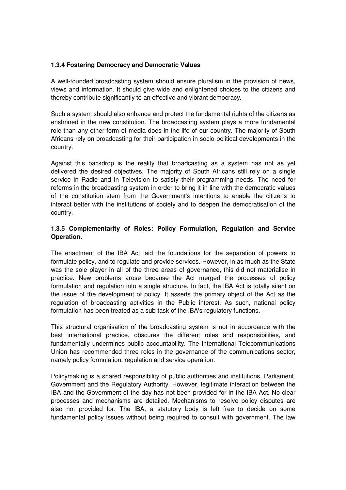## **1.3.4 Fostering Democracy and Democratic Values**

A well-founded broadcasting system should ensure pluralism in the provision of news, views and information. It should give wide and enlightened choices to the citizens and thereby contribute significantly to an effective and vibrant democracy**.** 

Such a system should also enhance and protect the fundamental rights of the citizens as enshrined in the new constitution. The broadcasting system plays a more fundamental role than any other form of media does in the life of our country. The majority of South Africans rely on broadcasting for their participation in socio-political developments in the country.

Against this backdrop is the reality that broadcasting as a system has not as yet delivered the desired objectives. The majority of South Africans still rely on a single service in Radio and in Television to satisfy their programming needs. The need for reforms in the broadcasting system in order to bring it in line with the democratic values of the constitution stem from the Government's intentions to enable the citizens to interact better with the institutions of society and to deepen the democratisation of the country.

# **1.3.5 Complementarity of Roles: Policy Formulation, Regulation and Service Operation.**

The enactment of the IBA Act laid the foundations for the separation of powers to formulate policy, and to regulate and provide services. However, in as much as the State was the sole player in all of the three areas of governance, this did not materialise in practice. New problems arose because the Act merged the processes of policy formulation and regulation into a single structure. In fact, the IBA Act is totally silent on the issue of the development of policy. It asserts the primary object of the Act as the regulation of broadcasting activities in the Public interest. As such, national policy formulation has been treated as a sub-task of the IBA's regulatory functions.

This structural organisation of the broadcasting system is not in accordance with the best international practice, obscures the different roles and responsibilities, and fundamentally undermines public accountability. The International Telecommunications Union has recommended three roles in the governance of the communications sector, namely policy formulation, regulation and service operation.

Policymaking is a shared responsibility of public authorities and institutions, Parliament, Government and the Regulatory Authority. However, legitimate interaction between the IBA and the Government of the day has not been provided for in the IBA Act. No clear processes and mechanisms are detailed. Mechanisms to resolve policy disputes are also not provided for. The IBA, a statutory body is left free to decide on some fundamental policy issues without being required to consult with government. The law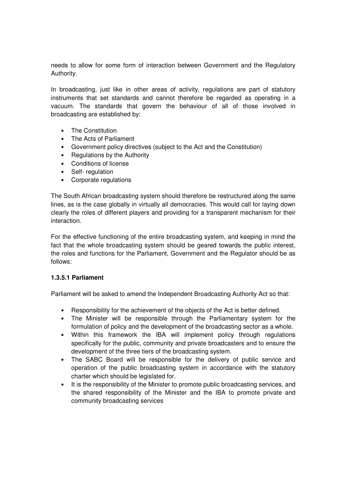needs to allow for some form of interaction between Government and the Regulatory Authority.

In broadcasting, just like in other areas of activity, regulations are part of statutory instruments that set standards and cannot therefore be regarded as operating in a vacuum. The standards that govern the behaviour of all of those involved in broadcasting are established by:

- The Constitution
- The Acts of Parliament
- Government policy directives (subject to the Act and the Constitution)
- Regulations by the Authority
- Conditions of license
- Self- regulation
- Corporate regulations

The South African broadcasting system should therefore be restructured along the same lines, as is the case globally in virtually all democracies. This would call for laying down clearly the roles of different players and providing for a transparent mechanism for their interaction.

For the effective functioning of the entire broadcasting system, and keeping in mind the fact that the whole broadcasting system should be geared towards the public interest, the roles and functions for the Parliament, Government and the Regulator should be as follows:

## **1.3.5.1 Parliament**

Parliament will be asked to amend the Independent Broadcasting Authority Act so that:

- Responsibility for the achievement of the objects of the Act is better defined.
- The Minister will be responsible through the Parliamentary system for the formulation of policy and the development of the broadcasting sector as a whole.
- Within this framework the IBA will implement policy through regulations specifically for the public, community and private broadcasters and to ensure the development of the three tiers of the broadcasting system.
- The SABC Board will be responsible for the delivery of public service and operation of the public broadcasting system in accordance with the statutory charter which should be legislated for.
- It is the responsibility of the Minister to promote public broadcasting services, and the shared responsibility of the Minister and the IBA to promote private and community broadcasting services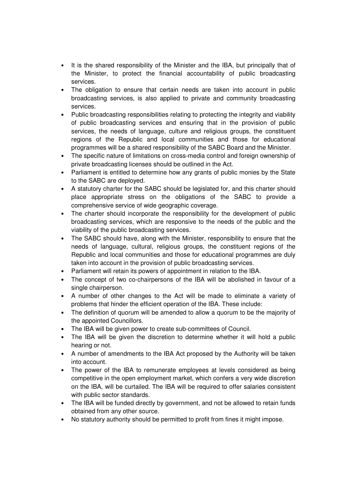- It is the shared responsibility of the Minister and the IBA, but principally that of the Minister, to protect the financial accountability of public broadcasting services.
- The obligation to ensure that certain needs are taken into account in public broadcasting services, is also applied to private and community broadcasting services.
- Public broadcasting responsibilities relating to protecting the integrity and viability of public broadcasting services and ensuring that in the provision of public services, the needs of language, culture and religious groups, the constituent regions of the Republic and local communities and those for educational programmes will be a shared responsibility of the SABC Board and the Minister.
- The specific nature of limitations on cross-media control and foreign ownership of private broadcasting licenses should be outlined in the Act.
- Parliament is entitled to determine how any grants of public monies by the State to the SABC are deployed.
- A statutory charter for the SABC should be legislated for, and this charter should place appropriate stress on the obligations of the SABC to provide a comprehensive service of wide geographic coverage.
- The charter should incorporate the responsibility for the development of public broadcasting services, which are responsive to the needs of the public and the viability of the public broadcasting services.
- The SABC should have, along with the Minister, responsibility to ensure that the needs of language, cultural, religious groups, the constituent regions of the Republic and local communities and those for educational programmes are duly taken into account in the provision of public broadcasting services.
- Parliament will retain its powers of appointment in relation to the IBA.
- The concept of two co-chairpersons of the IBA will be abolished in favour of a single chairperson.
- A number of other changes to the Act will be made to eliminate a variety of problems that hinder the efficient operation of the IBA. These include:
- The definition of quorum will be amended to allow a quorum to be the majority of the appointed Councillors.
- The IBA will be given power to create sub-committees of Council.
- The IBA will be given the discretion to determine whether it will hold a public hearing or not.
- A number of amendments to the IBA Act proposed by the Authority will be taken into account.
- The power of the IBA to remunerate employees at levels considered as being competitive in the open employment market, which confers a very wide discretion on the IBA, will be curtailed. The IBA will be required to offer salaries consistent with public sector standards.
- The IBA will be funded directly by government, and not be allowed to retain funds obtained from any other source.
- No statutory authority should be permitted to profit from fines it might impose.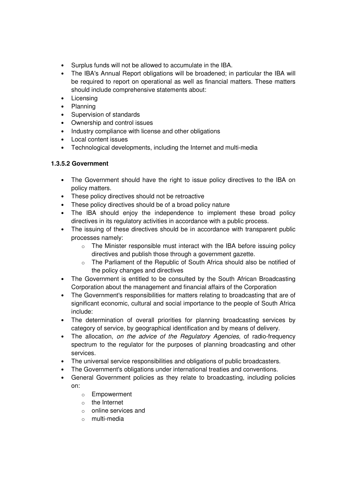- Surplus funds will not be allowed to accumulate in the IBA.
- The IBA's Annual Report obligations will be broadened; in particular the IBA will be required to report on operational as well as financial matters. These matters should include comprehensive statements about:
- Licensing
- Planning
- Supervision of standards
- Ownership and control issues
- Industry compliance with license and other obligations
- Local content issues
- Technological developments, including the Internet and multi-media

# **1.3.5.2 Government**

- The Government should have the right to issue policy directives to the IBA on policy matters.
- These policy directives should not be retroactive
- These policy directives should be of a broad policy nature
- The IBA should enjoy the independence to implement these broad policy directives in its regulatory activities in accordance with a public process.
- The issuing of these directives should be in accordance with transparent public processes namely:
	- $\circ$  The Minister responsible must interact with the IBA before issuing policy directives and publish those through a government gazette.
	- o The Parliament of the Republic of South Africa should also be notified of the policy changes and directives
- The Government is entitled to be consulted by the South African Broadcasting Corporation about the management and financial affairs of the Corporation
- The Government's responsibilities for matters relating to broadcasting that are of significant economic, cultural and social importance to the people of South Africa include:
- The determination of overall priorities for planning broadcasting services by category of service, by geographical identification and by means of delivery.
- The allocation, on the advice of the Regulatory Agencies, of radio-frequency spectrum to the regulator for the purposes of planning broadcasting and other services.
- The universal service responsibilities and obligations of public broadcasters.
- The Government's obligations under international treaties and conventions.
- General Government policies as they relate to broadcasting, including policies on:
	- o Empowerment
	- o the Internet
	- o online services and
	- o multi-media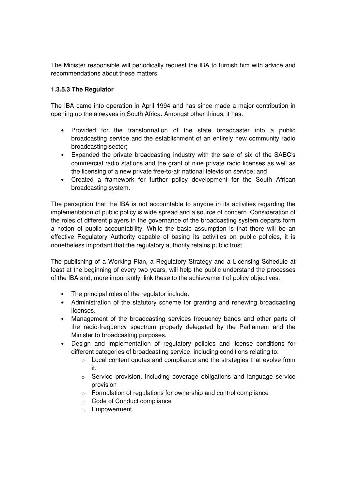The Minister responsible will periodically request the IBA to furnish him with advice and recommendations about these matters.

# **1.3.5.3 The Regulator**

The IBA came into operation in April 1994 and has since made a major contribution in opening up the airwaves in South Africa. Amongst other things, it has:

- Provided for the transformation of the state broadcaster into a public broadcasting service and the establishment of an entirely new community radio broadcasting sector;
- Expanded the private broadcasting industry with the sale of six of the SABC's commercial radio stations and the grant of nine private radio licenses as well as the licensing of a new private free-to-air national television service; and
- Created a framework for further policy development for the South African broadcasting system.

The perception that the IBA is not accountable to anyone in its activities regarding the implementation of public policy is wide spread and a source of concern. Consideration of the roles of different players in the governance of the broadcasting system departs form a notion of public accountability. While the basic assumption is that there will be an effective Regulatory Authority capable of basing its activities on public policies, it is nonetheless important that the regulatory authority retains public trust.

The publishing of a Working Plan, a Regulatory Strategy and a Licensing Schedule at least at the beginning of every two years, will help the public understand the processes of the IBA and, more importantly, link these to the achievement of policy objectives.

- The principal roles of the regulator include:
- Administration of the statutory scheme for granting and renewing broadcasting licenses.
- Management of the broadcasting services frequency bands and other parts of the radio-frequency spectrum properly delegated by the Parliament and the Minister to broadcasting purposes.
- Design and implementation of regulatory policies and license conditions for different categories of broadcasting service, including conditions relating to:
	- o Local content quotas and compliance and the strategies that evolve from it.
	- o Service provision, including coverage obligations and language service provision
	- o Formulation of regulations for ownership and control compliance
	- o Code of Conduct compliance
	- o Empowerment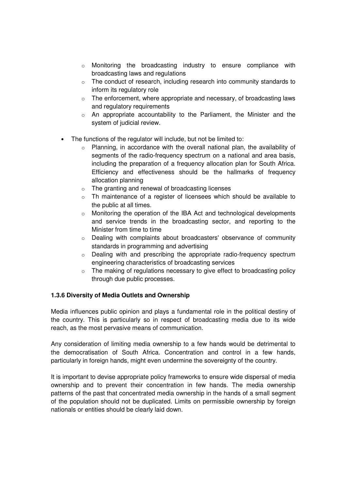- o Monitoring the broadcasting industry to ensure compliance with broadcasting laws and regulations
- o The conduct of research, including research into community standards to inform its regulatory role
- o The enforcement, where appropriate and necessary, of broadcasting laws and regulatory requirements
- o An appropriate accountability to the Parliament, the Minister and the system of judicial review.
- The functions of the regulator will include, but not be limited to:
	- o Planning, in accordance with the overall national plan, the availability of segments of the radio-frequency spectrum on a national and area basis, including the preparation of a frequency allocation plan for South Africa. Efficiency and effectiveness should be the hallmarks of frequency allocation planning
	- o The granting and renewal of broadcasting licenses
	- o Th maintenance of a register of licensees which should be available to the public at all times.
	- o Monitoring the operation of the IBA Act and technological developments and service trends in the broadcasting sector, and reporting to the Minister from time to time
	- o Dealing with complaints about broadcasters' observance of community standards in programming and advertising
	- $\circ$  Dealing with and prescribing the appropriate radio-frequency spectrum engineering characteristics of broadcasting services
	- o The making of regulations necessary to give effect to broadcasting policy through due public processes.

## **1.3.6 Diversity of Media Outlets and Ownership**

Media influences public opinion and plays a fundamental role in the political destiny of the country. This is particularly so in respect of broadcasting media due to its wide reach, as the most pervasive means of communication.

Any consideration of limiting media ownership to a few hands would be detrimental to the democratisation of South Africa. Concentration and control in a few hands, particularly in foreign hands, might even undermine the sovereignty of the country.

It is important to devise appropriate policy frameworks to ensure wide dispersal of media ownership and to prevent their concentration in few hands. The media ownership patterns of the past that concentrated media ownership in the hands of a small segment of the population should not be duplicated. Limits on permissible ownership by foreign nationals or entities should be clearly laid down.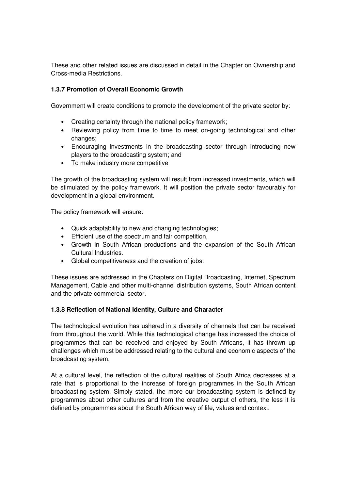These and other related issues are discussed in detail in the Chapter on Ownership and Cross-media Restrictions.

# **1.3.7 Promotion of Overall Economic Growth**

Government will create conditions to promote the development of the private sector by:

- Creating certainty through the national policy framework;
- Reviewing policy from time to time to meet on-going technological and other changes;
- Encouraging investments in the broadcasting sector through introducing new players to the broadcasting system; and
- To make industry more competitive

The growth of the broadcasting system will result from increased investments, which will be stimulated by the policy framework. It will position the private sector favourably for development in a global environment.

The policy framework will ensure:

- Quick adaptability to new and changing technologies;
- Efficient use of the spectrum and fair competition,
- Growth in South African productions and the expansion of the South African Cultural Industries.
- Global competitiveness and the creation of jobs.

These issues are addressed in the Chapters on Digital Broadcasting, Internet, Spectrum Management, Cable and other multi-channel distribution systems, South African content and the private commercial sector.

## **1.3.8 Reflection of National Identity, Culture and Character**

The technological evolution has ushered in a diversity of channels that can be received from throughout the world. While this technological change has increased the choice of programmes that can be received and enjoyed by South Africans, it has thrown up challenges which must be addressed relating to the cultural and economic aspects of the broadcasting system.

At a cultural level, the reflection of the cultural realities of South Africa decreases at a rate that is proportional to the increase of foreign programmes in the South African broadcasting system. Simply stated, the more our broadcasting system is defined by programmes about other cultures and from the creative output of others, the less it is defined by programmes about the South African way of life, values and context.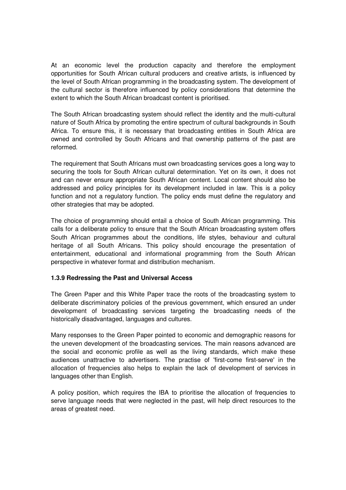At an economic level the production capacity and therefore the employment opportunities for South African cultural producers and creative artists, is influenced by the level of South African programming in the broadcasting system. The development of the cultural sector is therefore influenced by policy considerations that determine the extent to which the South African broadcast content is prioritised.

The South African broadcasting system should reflect the identity and the multi-cultural nature of South Africa by promoting the entire spectrum of cultural backgrounds in South Africa. To ensure this, it is necessary that broadcasting entities in South Africa are owned and controlled by South Africans and that ownership patterns of the past are reformed.

The requirement that South Africans must own broadcasting services goes a long way to securing the tools for South African cultural determination. Yet on its own, it does not and can never ensure appropriate South African content. Local content should also be addressed and policy principles for its development included in law. This is a policy function and not a regulatory function. The policy ends must define the regulatory and other strategies that may be adopted.

The choice of programming should entail a choice of South African programming. This calls for a deliberate policy to ensure that the South African broadcasting system offers South African programmes about the conditions, life styles, behaviour and cultural heritage of all South Africans. This policy should encourage the presentation of entertainment, educational and informational programming from the South African perspective in whatever format and distribution mechanism.

## **1.3.9 Redressing the Past and Universal Access**

The Green Paper and this White Paper trace the roots of the broadcasting system to deliberate discriminatory policies of the previous government, which ensured an under development of broadcasting services targeting the broadcasting needs of the historically disadvantaged, languages and cultures.

Many responses to the Green Paper pointed to economic and demographic reasons for the uneven development of the broadcasting services. The main reasons advanced are the social and economic profile as well as the living standards, which make these audiences unattractive to advertisers. The practise of 'first-come first-serve' in the allocation of frequencies also helps to explain the lack of development of services in languages other than English.

A policy position, which requires the IBA to prioritise the allocation of frequencies to serve language needs that were neglected in the past, will help direct resources to the areas of greatest need.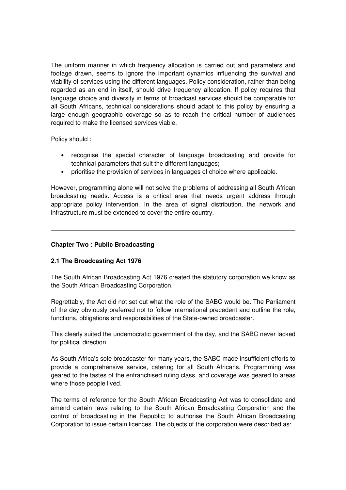The uniform manner in which frequency allocation is carried out and parameters and footage drawn, seems to ignore the important dynamics influencing the survival and viability of services using the different languages. Policy consideration, rather than being regarded as an end in itself, should drive frequency allocation. If policy requires that language choice and diversity in terms of broadcast services should be comparable for all South Africans, technical considerations should adapt to this policy by ensuring a large enough geographic coverage so as to reach the critical number of audiences required to make the licensed services viable.

Policy should :

- recognise the special character of language broadcasting and provide for technical parameters that suit the different languages;
- prioritise the provision of services in languages of choice where applicable.

However, programming alone will not solve the problems of addressing all South African broadcasting needs. Access is a critical area that needs urgent address through appropriate policy intervention. In the area of signal distribution, the network and infrastructure must be extended to cover the entire country.

## **Chapter Two : Public Broadcasting**

# **2.1 The Broadcasting Act 1976**

The South African Broadcasting Act 1976 created the statutory corporation we know as the South African Broadcasting Corporation.

Regrettably, the Act did not set out what the role of the SABC would be. The Parliament of the day obviously preferred not to follow international precedent and outline the role, functions, obligations and responsibilities of the State-owned broadcaster.

This clearly suited the undemocratic government of the day, and the SABC never lacked for political direction.

As South Africa's sole broadcaster for many years, the SABC made insufficient efforts to provide a comprehensive service, catering for all South Africans. Programming was geared to the tastes of the enfranchised ruling class, and coverage was geared to areas where those people lived.

The terms of reference for the South African Broadcasting Act was to consolidate and amend certain laws relating to the South African Broadcasting Corporation and the control of broadcasting in the Republic; to authorise the South African Broadcasting Corporation to issue certain licences. The objects of the corporation were described as: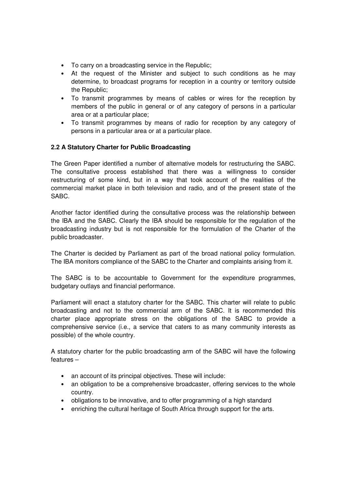- To carry on a broadcasting service in the Republic;
- At the request of the Minister and subject to such conditions as he may determine, to broadcast programs for reception in a country or territory outside the Republic;
- To transmit programmes by means of cables or wires for the reception by members of the public in general or of any category of persons in a particular area or at a particular place;
- To transmit programmes by means of radio for reception by any category of persons in a particular area or at a particular place.

## **2.2 A Statutory Charter for Public Broadcasting**

The Green Paper identified a number of alternative models for restructuring the SABC. The consultative process established that there was a willingness to consider restructuring of some kind, but in a way that took account of the realities of the commercial market place in both television and radio, and of the present state of the SABC.

Another factor identified during the consultative process was the relationship between the IBA and the SABC. Clearly the IBA should be responsible for the regulation of the broadcasting industry but is not responsible for the formulation of the Charter of the public broadcaster.

The Charter is decided by Parliament as part of the broad national policy formulation. The IBA monitors compliance of the SABC to the Charter and complaints arising from it.

The SABC is to be accountable to Government for the expenditure programmes, budgetary outlays and financial performance.

Parliament will enact a statutory charter for the SABC. This charter will relate to public broadcasting and not to the commercial arm of the SABC. It is recommended this charter place appropriate stress on the obligations of the SABC to provide a comprehensive service (i.e., a service that caters to as many community interests as possible) of the whole country.

A statutory charter for the public broadcasting arm of the SABC will have the following features –

- an account of its principal objectives. These will include:
- an obligation to be a comprehensive broadcaster, offering services to the whole country.
- obligations to be innovative, and to offer programming of a high standard
- enriching the cultural heritage of South Africa through support for the arts.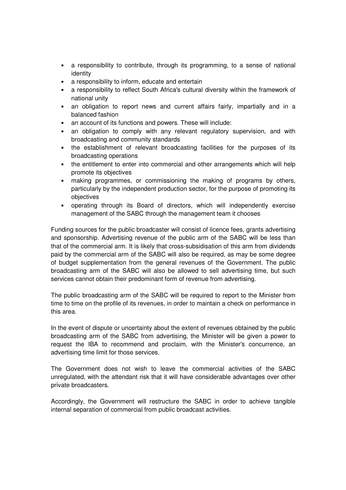- a responsibility to contribute, through its programming, to a sense of national identity
- a responsibility to inform, educate and entertain
- a responsibility to reflect South Africa's cultural diversity within the framework of national unity
- an obligation to report news and current affairs fairly, impartially and in a balanced fashion
- an account of its functions and powers. These will include:
- an obligation to comply with any relevant regulatory supervision, and with broadcasting and community standards
- the establishment of relevant broadcasting facilities for the purposes of its broadcasting operations
- the entitlement to enter into commercial and other arrangements which will help promote its objectives
- making programmes, or commissioning the making of programs by others, particularly by the independent production sector, for the purpose of promoting its objectives
- operating through its Board of directors, which will independently exercise management of the SABC through the management team it chooses

Funding sources for the public broadcaster will consist of licence fees, grants advertising and sponsorship. Advertising revenue of the public arm of the SABC will be less than that of the commercial arm. It is likely that cross-subsidisation of this arm from dividends paid by the commercial arm of the SABC will also be required, as may be some degree of budget supplementation from the general revenues of the Government. The public broadcasting arm of the SABC will also be allowed to sell advertising time, but such services cannot obtain their predominant form of revenue from advertising.

The public broadcasting arm of the SABC will be required to report to the Minister from time to time on the profile of its revenues, in order to maintain a check on performance in this area.

In the event of dispute or uncertainty about the extent of revenues obtained by the public broadcasting arm of the SABC from advertising, the Minister will be given a power to request the IBA to recommend and proclaim, with the Minister's concurrence, an advertising time limit for those services.

The Government does not wish to leave the commercial activities of the SABC unregulated, with the attendant risk that it will have considerable advantages over other private broadcasters.

Accordingly, the Government will restructure the SABC in order to achieve tangible internal separation of commercial from public broadcast activities.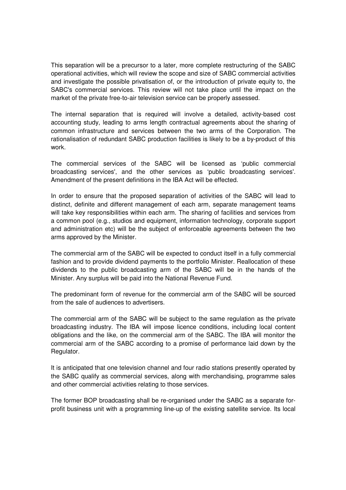This separation will be a precursor to a later, more complete restructuring of the SABC operational activities, which will review the scope and size of SABC commercial activities and investigate the possible privatisation of, or the introduction of private equity to, the SABC's commercial services. This review will not take place until the impact on the market of the private free-to-air television service can be properly assessed.

The internal separation that is required will involve a detailed, activity-based cost accounting study, leading to arms length contractual agreements about the sharing of common infrastructure and services between the two arms of the Corporation. The rationalisation of redundant SABC production facilities is likely to be a by-product of this work.

The commercial services of the SABC will be licensed as 'public commercial broadcasting services', and the other services as 'public broadcasting services'. Amendment of the present definitions in the IBA Act will be effected.

In order to ensure that the proposed separation of activities of the SABC will lead to distinct, definite and different management of each arm, separate management teams will take key responsibilities within each arm. The sharing of facilities and services from a common pool (e.g., studios and equipment, information technology, corporate support and administration etc) will be the subject of enforceable agreements between the two arms approved by the Minister.

The commercial arm of the SABC will be expected to conduct itself in a fully commercial fashion and to provide dividend payments to the portfolio Minister. Reallocation of these dividends to the public broadcasting arm of the SABC will be in the hands of the Minister. Any surplus will be paid into the National Revenue Fund.

The predominant form of revenue for the commercial arm of the SABC will be sourced from the sale of audiences to advertisers.

The commercial arm of the SABC will be subject to the same regulation as the private broadcasting industry. The IBA will impose licence conditions, including local content obligations and the like, on the commercial arm of the SABC. The IBA will monitor the commercial arm of the SABC according to a promise of performance laid down by the Regulator.

It is anticipated that one television channel and four radio stations presently operated by the SABC qualify as commercial services, along with merchandising, programme sales and other commercial activities relating to those services.

The former BOP broadcasting shall be re-organised under the SABC as a separate forprofit business unit with a programming line-up of the existing satellite service. Its local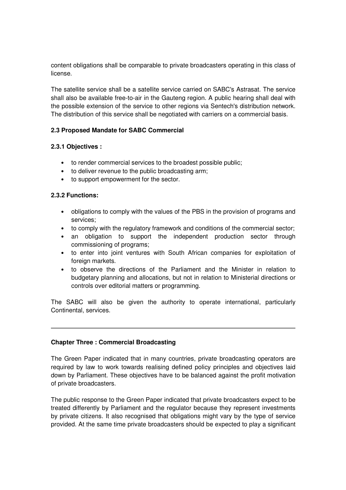content obligations shall be comparable to private broadcasters operating in this class of license.

The satellite service shall be a satellite service carried on SABC's Astrasat. The service shall also be available free-to-air in the Gauteng region. A public hearing shall deal with the possible extension of the service to other regions via Sentech's distribution network. The distribution of this service shall be negotiated with carriers on a commercial basis.

## **2.3 Proposed Mandate for SABC Commercial**

## **2.3.1 Objectives :**

- to render commercial services to the broadest possible public;
- to deliver revenue to the public broadcasting arm;
- to support empowerment for the sector.

## **2.3.2 Functions:**

- obligations to comply with the values of the PBS in the provision of programs and services;
- to comply with the regulatory framework and conditions of the commercial sector;
- an obligation to support the independent production sector through commissioning of programs;
- to enter into joint ventures with South African companies for exploitation of foreign markets.
- to observe the directions of the Parliament and the Minister in relation to budgetary planning and allocations, but not in relation to Ministerial directions or controls over editorial matters or programming.

The SABC will also be given the authority to operate international, particularly Continental, services.

## **Chapter Three : Commercial Broadcasting**

The Green Paper indicated that in many countries, private broadcasting operators are required by law to work towards realising defined policy principles and objectives laid down by Parliament. These objectives have to be balanced against the profit motivation of private broadcasters.

The public response to the Green Paper indicated that private broadcasters expect to be treated differently by Parliament and the regulator because they represent investments by private citizens. It also recognised that obligations might vary by the type of service provided. At the same time private broadcasters should be expected to play a significant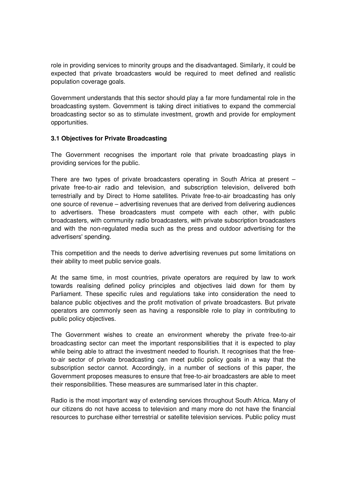role in providing services to minority groups and the disadvantaged. Similarly, it could be expected that private broadcasters would be required to meet defined and realistic population coverage goals.

Government understands that this sector should play a far more fundamental role in the broadcasting system. Government is taking direct initiatives to expand the commercial broadcasting sector so as to stimulate investment, growth and provide for employment opportunities.

## **3.1 Objectives for Private Broadcasting**

The Government recognises the important role that private broadcasting plays in providing services for the public.

There are two types of private broadcasters operating in South Africa at present – private free-to-air radio and television, and subscription television, delivered both terrestrially and by Direct to Home satellites. Private free-to-air broadcasting has only one source of revenue – advertising revenues that are derived from delivering audiences to advertisers. These broadcasters must compete with each other, with public broadcasters, with community radio broadcasters, with private subscription broadcasters and with the non-regulated media such as the press and outdoor advertising for the advertisers' spending.

This competition and the needs to derive advertising revenues put some limitations on their ability to meet public service goals.

At the same time, in most countries, private operators are required by law to work towards realising defined policy principles and objectives laid down for them by Parliament. These specific rules and regulations take into consideration the need to balance public objectives and the profit motivation of private broadcasters. But private operators are commonly seen as having a responsible role to play in contributing to public policy objectives.

The Government wishes to create an environment whereby the private free-to-air broadcasting sector can meet the important responsibilities that it is expected to play while being able to attract the investment needed to flourish. It recognises that the freeto-air sector of private broadcasting can meet public policy goals in a way that the subscription sector cannot. Accordingly, in a number of sections of this paper, the Government proposes measures to ensure that free-to-air broadcasters are able to meet their responsibilities. These measures are summarised later in this chapter.

Radio is the most important way of extending services throughout South Africa. Many of our citizens do not have access to television and many more do not have the financial resources to purchase either terrestrial or satellite television services. Public policy must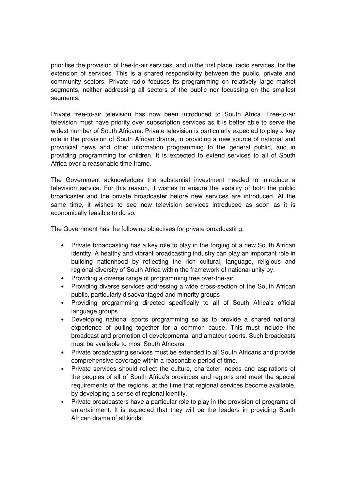prioritise the provision of free-to-air services, and in the first place, radio services, for the extension of services. This is a shared responsibility between the public, private and community sectors. Private radio focuses its programming on relatively large market segments, neither addressing all sectors of the public nor focussing on the smallest segments.

Private free-to-air television has now been introduced to South Africa. Free-to-air television must have priority over subscription services as it is better able to serve the widest number of South Africans. Private television is particularly expected to play a key role in the provision of South African drama, in providing a new source of national and provincial news and other information programming to the general public, and in providing programming for children. It is expected to extend services to all of South Africa over a reasonable time frame.

The Government acknowledges the substantial investment needed to introduce a television service. For this reason, it wishes to ensure the viability of both the public broadcaster and the private broadcaster before new services are introduced. At the same time, it wishes to see new television services introduced as soon as it is economically feasible to do so.

The Government has the following objectives for private broadcasting:

- Private broadcasting has a key role to play in the forging of a new South African identity. A healthy and vibrant broadcasting industry can play an important role in building nationhood by reflecting the rich cultural, language, religious and regional diversity of South Africa within the framework of national unity by:
- Providing a diverse range of programming free over-the-air.
- Providing diverse services addressing a wide cross-section of the South African public, particularly disadvantaged and minority groups
- Providing programming directed specifically to all of South Africa's official language groups
- Developing national sports programming so as to provide a shared national experience of pulling together for a common cause. This must include the broadcast and promotion of developmental and amateur sports. Such broadcasts must be available to most South Africans.
- Private broadcasting services must be extended to all South Africans and provide comprehensive coverage within a reasonable period of time.
- Private services should reflect the culture, character, needs and aspirations of the peoples of all of South Africa's provinces and regions and meet the special requirements of the regions, at the time that regional services become available, by developing a sense of regional identity.
- Private broadcasters have a particular role to play in the provision of programs of entertainment. It is expected that they will be the leaders in providing South African drama of all kinds.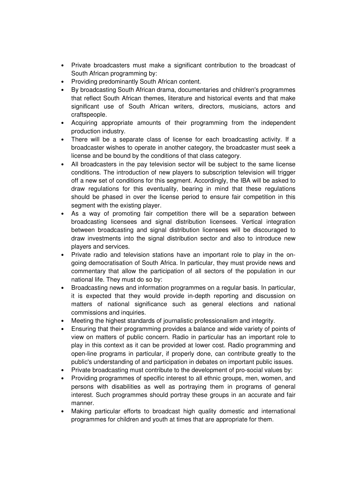- Private broadcasters must make a significant contribution to the broadcast of South African programming by:
- Providing predominantly South African content.
- By broadcasting South African drama, documentaries and children's programmes that reflect South African themes, literature and historical events and that make significant use of South African writers, directors, musicians, actors and craftspeople.
- Acquiring appropriate amounts of their programming from the independent production industry.
- There will be a separate class of license for each broadcasting activity. If a broadcaster wishes to operate in another category, the broadcaster must seek a license and be bound by the conditions of that class category.
- All broadcasters in the pay television sector will be subject to the same license conditions. The introduction of new players to subscription television will trigger off a new set of conditions for this segment. Accordingly, the IBA will be asked to draw regulations for this eventuality, bearing in mind that these regulations should be phased in over the license period to ensure fair competition in this segment with the existing player.
- As a way of promoting fair competition there will be a separation between broadcasting licensees and signal distribution licensees. Vertical integration between broadcasting and signal distribution licensees will be discouraged to draw investments into the signal distribution sector and also to introduce new players and services.
- Private radio and television stations have an important role to play in the ongoing democratisation of South Africa. In particular, they must provide news and commentary that allow the participation of all sectors of the population in our national life. They must do so by:
- Broadcasting news and information programmes on a regular basis. In particular, it is expected that they would provide in-depth reporting and discussion on matters of national significance such as general elections and national commissions and inquiries.
- Meeting the highest standards of journalistic professionalism and integrity.
- Ensuring that their programming provides a balance and wide variety of points of view on matters of public concern. Radio in particular has an important role to play in this context as it can be provided at lower cost. Radio programming and open-line programs in particular, if properly done, can contribute greatly to the public's understanding of and participation in debates on important public issues.
- Private broadcasting must contribute to the development of pro-social values by:
- Providing programmes of specific interest to all ethnic groups, men, women, and persons with disabilities as well as portraying them in programs of general interest. Such programmes should portray these groups in an accurate and fair manner.
- Making particular efforts to broadcast high quality domestic and international programmes for children and youth at times that are appropriate for them.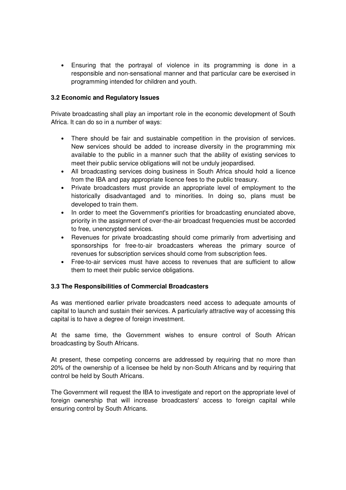• Ensuring that the portrayal of violence in its programming is done in a responsible and non-sensational manner and that particular care be exercised in programming intended for children and youth.

### **3.2 Economic and Regulatory Issues**

Private broadcasting shall play an important role in the economic development of South Africa. It can do so in a number of ways:

- There should be fair and sustainable competition in the provision of services. New services should be added to increase diversity in the programming mix available to the public in a manner such that the ability of existing services to meet their public service obligations will not be unduly jeopardised.
- All broadcasting services doing business in South Africa should hold a licence from the IBA and pay appropriate licence fees to the public treasury.
- Private broadcasters must provide an appropriate level of employment to the historically disadvantaged and to minorities. In doing so, plans must be developed to train them.
- In order to meet the Government's priorities for broadcasting enunciated above, priority in the assignment of over-the-air broadcast frequencies must be accorded to free, unencrypted services.
- Revenues for private broadcasting should come primarily from advertising and sponsorships for free-to-air broadcasters whereas the primary source of revenues for subscription services should come from subscription fees.
- Free-to-air services must have access to revenues that are sufficient to allow them to meet their public service obligations.

#### **3.3 The Responsibilities of Commercial Broadcasters**

As was mentioned earlier private broadcasters need access to adequate amounts of capital to launch and sustain their services. A particularly attractive way of accessing this capital is to have a degree of foreign investment.

At the same time, the Government wishes to ensure control of South African broadcasting by South Africans.

At present, these competing concerns are addressed by requiring that no more than 20% of the ownership of a licensee be held by non-South Africans and by requiring that control be held by South Africans.

The Government will request the IBA to investigate and report on the appropriate level of foreign ownership that will increase broadcasters' access to foreign capital while ensuring control by South Africans.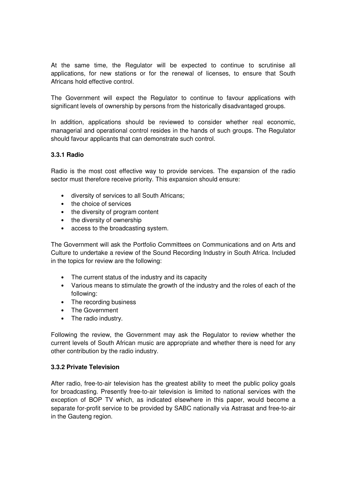At the same time, the Regulator will be expected to continue to scrutinise all applications, for new stations or for the renewal of licenses, to ensure that South Africans hold effective control.

The Government will expect the Regulator to continue to favour applications with significant levels of ownership by persons from the historically disadvantaged groups.

In addition, applications should be reviewed to consider whether real economic, managerial and operational control resides in the hands of such groups. The Regulator should favour applicants that can demonstrate such control.

## **3.3.1 Radio**

Radio is the most cost effective way to provide services. The expansion of the radio sector must therefore receive priority. This expansion should ensure:

- diversity of services to all South Africans;
- the choice of services
- the diversity of program content
- the diversity of ownership
- access to the broadcasting system.

The Government will ask the Portfolio Committees on Communications and on Arts and Culture to undertake a review of the Sound Recording Industry in South Africa. Included in the topics for review are the following:

- The current status of the industry and its capacity
- Various means to stimulate the growth of the industry and the roles of each of the following:
- The recording business
- The Government
- The radio industry.

Following the review, the Government may ask the Regulator to review whether the current levels of South African music are appropriate and whether there is need for any other contribution by the radio industry.

#### **3.3.2 Private Television**

After radio, free-to-air television has the greatest ability to meet the public policy goals for broadcasting. Presently free-to-air television is limited to national services with the exception of BOP TV which, as indicated elsewhere in this paper, would become a separate for-profit service to be provided by SABC nationally via Astrasat and free-to-air in the Gauteng region.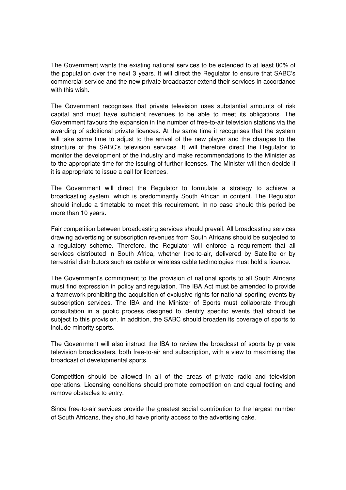The Government wants the existing national services to be extended to at least 80% of the population over the next 3 years. It will direct the Regulator to ensure that SABC's commercial service and the new private broadcaster extend their services in accordance with this wish.

The Government recognises that private television uses substantial amounts of risk capital and must have sufficient revenues to be able to meet its obligations. The Government favours the expansion in the number of free-to-air television stations via the awarding of additional private licences. At the same time it recognises that the system will take some time to adjust to the arrival of the new player and the changes to the structure of the SABC's television services. It will therefore direct the Regulator to monitor the development of the industry and make recommendations to the Minister as to the appropriate time for the issuing of further licenses. The Minister will then decide if it is appropriate to issue a call for licences.

The Government will direct the Regulator to formulate a strategy to achieve a broadcasting system, which is predominantly South African in content. The Regulator should include a timetable to meet this requirement. In no case should this period be more than 10 years.

Fair competition between broadcasting services should prevail. All broadcasting services drawing advertising or subscription revenues from South Africans should be subjected to a regulatory scheme. Therefore, the Regulator will enforce a requirement that all services distributed in South Africa, whether free-to-air, delivered by Satellite or by terrestrial distributors such as cable or wireless cable technologies must hold a licence.

The Government's commitment to the provision of national sports to all South Africans must find expression in policy and regulation. The IBA Act must be amended to provide a framework prohibiting the acquisition of exclusive rights for national sporting events by subscription services. The IBA and the Minister of Sports must collaborate through consultation in a public process designed to identify specific events that should be subject to this provision. In addition, the SABC should broaden its coverage of sports to include minority sports.

The Government will also instruct the IBA to review the broadcast of sports by private television broadcasters, both free-to-air and subscription, with a view to maximising the broadcast of developmental sports.

Competition should be allowed in all of the areas of private radio and television operations. Licensing conditions should promote competition on and equal footing and remove obstacles to entry.

Since free-to-air services provide the greatest social contribution to the largest number of South Africans, they should have priority access to the advertising cake.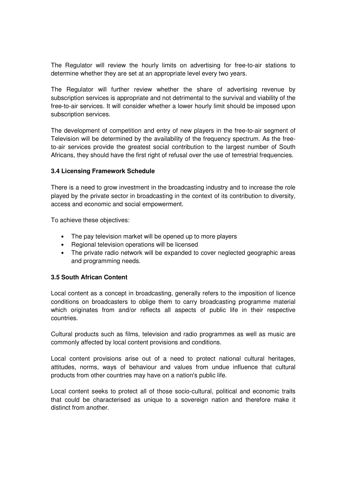The Regulator will review the hourly limits on advertising for free-to-air stations to determine whether they are set at an appropriate level every two years.

The Regulator will further review whether the share of advertising revenue by subscription services is appropriate and not detrimental to the survival and viability of the free-to-air services. It will consider whether a lower hourly limit should be imposed upon subscription services.

The development of competition and entry of new players in the free-to-air segment of Television will be determined by the availability of the frequency spectrum. As the freeto-air services provide the greatest social contribution to the largest number of South Africans, they should have the first right of refusal over the use of terrestrial frequencies.

## **3.4 Licensing Framework Schedule**

There is a need to grow investment in the broadcasting industry and to increase the role played by the private sector in broadcasting in the context of its contribution to diversity, access and economic and social empowerment.

To achieve these objectives:

- The pay television market will be opened up to more players
- Regional television operations will be licensed
- The private radio network will be expanded to cover neglected geographic areas and programming needs.

### **3.5 South African Content**

Local content as a concept in broadcasting, generally refers to the imposition of licence conditions on broadcasters to oblige them to carry broadcasting programme material which originates from and/or reflects all aspects of public life in their respective countries.

Cultural products such as films, television and radio programmes as well as music are commonly affected by local content provisions and conditions.

Local content provisions arise out of a need to protect national cultural heritages, attitudes, norms, ways of behaviour and values from undue influence that cultural products from other countries may have on a nation's public life.

Local content seeks to protect all of those socio-cultural, political and economic traits that could be characterised as unique to a sovereign nation and therefore make it distinct from another.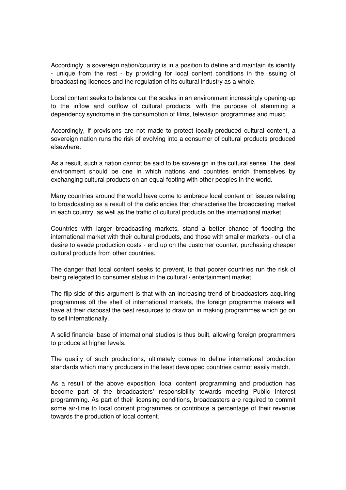Accordingly, a sovereign nation/country is in a position to define and maintain its identity - unique from the rest - by providing for local content conditions in the issuing of broadcasting licences and the regulation of its cultural industry as a whole.

Local content seeks to balance out the scales in an environment increasingly opening-up to the inflow and outflow of cultural products, with the purpose of stemming a dependency syndrome in the consumption of films, television programmes and music.

Accordingly, if provisions are not made to protect locally-produced cultural content, a sovereign nation runs the risk of evolving into a consumer of cultural products produced elsewhere.

As a result, such a nation cannot be said to be sovereign in the cultural sense. The ideal environment should be one in which nations and countries enrich themselves by exchanging cultural products on an equal footing with other peoples in the world.

Many countries around the world have come to embrace local content on issues relating to broadcasting as a result of the deficiencies that characterise the broadcasting market in each country, as well as the traffic of cultural products on the international market.

Countries with larger broadcasting markets, stand a better chance of flooding the international market with their cultural products, and those with smaller markets - out of a desire to evade production costs - end up on the customer counter, purchasing cheaper cultural products from other countries.

The danger that local content seeks to prevent, is that poorer countries run the risk of being relegated to consumer status in the cultural / entertainment market.

The flip-side of this argument is that with an increasing trend of broadcasters acquiring programmes off the shelf of international markets, the foreign programme makers will have at their disposal the best resources to draw on in making programmes which go on to sell internationally.

A solid financial base of international studios is thus built, allowing foreign programmers to produce at higher levels.

The quality of such productions, ultimately comes to define international production standards which many producers in the least developed countries cannot easily match.

As a result of the above exposition, local content programming and production has become part of the broadcasters' responsibility towards meeting Public Interest programming. As part of their licensing conditions, broadcasters are required to commit some air-time to local content programmes or contribute a percentage of their revenue towards the production of local content.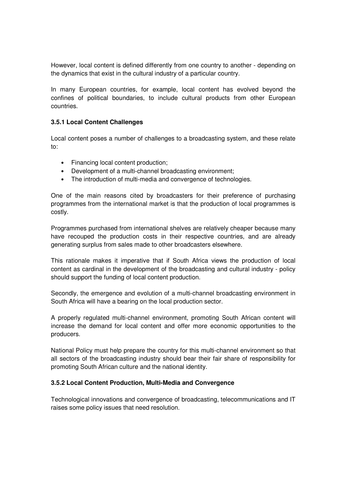However, local content is defined differently from one country to another - depending on the dynamics that exist in the cultural industry of a particular country.

In many European countries, for example, local content has evolved beyond the confines of political boundaries, to include cultural products from other European countries.

#### **3.5.1 Local Content Challenges**

Local content poses a number of challenges to a broadcasting system, and these relate to:

- Financing local content production;
- Development of a multi-channel broadcasting environment;
- The introduction of multi-media and convergence of technologies.

One of the main reasons cited by broadcasters for their preference of purchasing programmes from the international market is that the production of local programmes is costly.

Programmes purchased from international shelves are relatively cheaper because many have recouped the production costs in their respective countries, and are already generating surplus from sales made to other broadcasters elsewhere.

This rationale makes it imperative that if South Africa views the production of local content as cardinal in the development of the broadcasting and cultural industry - policy should support the funding of local content production.

Secondly, the emergence and evolution of a multi-channel broadcasting environment in South Africa will have a bearing on the local production sector.

A properly regulated multi-channel environment, promoting South African content will increase the demand for local content and offer more economic opportunities to the producers.

National Policy must help prepare the country for this multi-channel environment so that all sectors of the broadcasting industry should bear their fair share of responsibility for promoting South African culture and the national identity.

#### **3.5.2 Local Content Production, Multi-Media and Convergence**

Technological innovations and convergence of broadcasting, telecommunications and IT raises some policy issues that need resolution.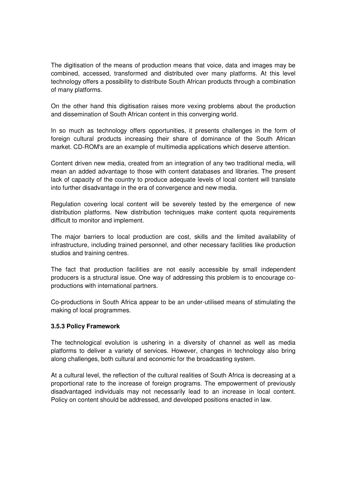The digitisation of the means of production means that voice, data and images may be combined, accessed, transformed and distributed over many platforms. At this level technology offers a possibility to distribute South African products through a combination of many platforms.

On the other hand this digitisation raises more vexing problems about the production and dissemination of South African content in this converging world.

In so much as technology offers opportunities, it presents challenges in the form of foreign cultural products increasing their share of dominance of the South African market. CD-ROM's are an example of multimedia applications which deserve attention.

Content driven new media, created from an integration of any two traditional media, will mean an added advantage to those with content databases and libraries. The present lack of capacity of the country to produce adequate levels of local content will translate into further disadvantage in the era of convergence and new media.

Regulation covering local content will be severely tested by the emergence of new distribution platforms. New distribution techniques make content quota requirements difficult to monitor and implement.

The major barriers to local production are cost, skills and the limited availability of infrastructure, including trained personnel, and other necessary facilities like production studios and training centres.

The fact that production facilities are not easily accessible by small independent producers is a structural issue. One way of addressing this problem is to encourage coproductions with international partners.

Co-productions in South Africa appear to be an under-utilised means of stimulating the making of local programmes.

#### **3.5.3 Policy Framework**

The technological evolution is ushering in a diversity of channel as well as media platforms to deliver a variety of services. However, changes in technology also bring along challenges, both cultural and economic for the broadcasting system.

At a cultural level, the reflection of the cultural realities of South Africa is decreasing at a proportional rate to the increase of foreign programs. The empowerment of previously disadvantaged individuals may not necessarily lead to an increase in local content. Policy on content should be addressed, and developed positions enacted in law.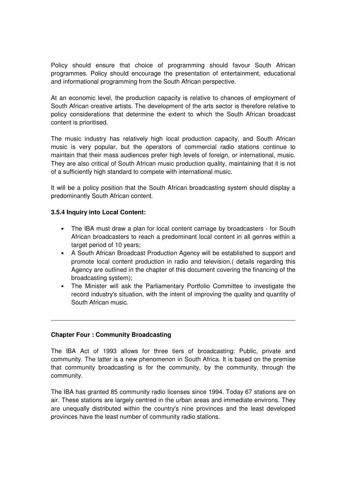Policy should ensure that choice of programming should favour South African programmes. Policy should encourage the presentation of entertainment, educational and informational programming from the South African perspective.

At an economic level, the production capacity is relative to chances of employment of South African creative artists. The development of the arts sector is therefore relative to policy considerations that determine the extent to which the South African broadcast content is prioritised.

The music industry has relatively high local production capacity, and South African music is very popular, but the operators of commercial radio stations continue to maintain that their mass audiences prefer high levels of foreign, or international, music. They are also critical of South African music production quality, maintaining that it is not of a sufficiently high standard to compete with international music.

It will be a policy position that the South African broadcasting system should display a predominantly South African content.

#### **3.5.4 Inquiry into Local Content:**

- The IBA must draw a plan for local content carriage by broadcasters for South African broadcasters to reach a predominant local content in all genres within a target period of 10 years;
- A South African Broadcast Production Agency will be established to support and promote local content production in radio and television.( details regarding this Agency are outlined in the chapter of this document covering the financing of the broadcasting system);
- The Minister will ask the Parliamentary Portfolio Committee to investigate the record industry's situation, with the intent of improving the quality and quantity of South African music.

#### **Chapter Four : Community Broadcasting**

The IBA Act of 1993 allows for three tiers of broadcasting: Public, private and community. The latter is a new phenomenon in South Africa. It is based on the premise that community broadcasting is for the community, by the community, through the community.

The IBA has granted 85 community radio licenses since 1994. Today 67 stations are on air. These stations are largely centred in the urban areas and immediate environs. They are unequally distributed within the country's nine provinces and the least developed provinces have the least number of community radio stations.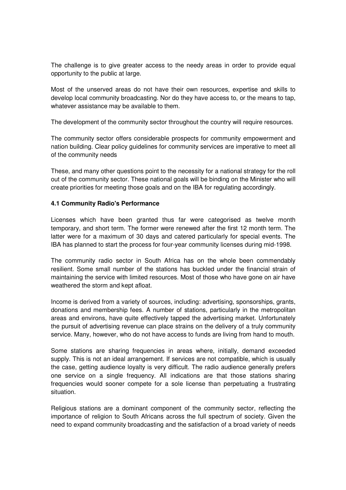The challenge is to give greater access to the needy areas in order to provide equal opportunity to the public at large.

Most of the unserved areas do not have their own resources, expertise and skills to develop local community broadcasting. Nor do they have access to, or the means to tap, whatever assistance may be available to them.

The development of the community sector throughout the country will require resources.

The community sector offers considerable prospects for community empowerment and nation building. Clear policy guidelines for community services are imperative to meet all of the community needs

These, and many other questions point to the necessity for a national strategy for the roll out of the community sector. These national goals will be binding on the Minister who will create priorities for meeting those goals and on the IBA for regulating accordingly.

#### **4.1 Community Radio's Performance**

Licenses which have been granted thus far were categorised as twelve month temporary, and short term. The former were renewed after the first 12 month term. The latter were for a maximum of 30 days and catered particularly for special events. The IBA has planned to start the process for four-year community licenses during mid-1998.

The community radio sector in South Africa has on the whole been commendably resilient. Some small number of the stations has buckled under the financial strain of maintaining the service with limited resources. Most of those who have gone on air have weathered the storm and kept afloat.

Income is derived from a variety of sources, including: advertising, sponsorships, grants, donations and membership fees. A number of stations, particularly in the metropolitan areas and environs, have quite effectively tapped the advertising market. Unfortunately the pursuit of advertising revenue can place strains on the delivery of a truly community service. Many, however, who do not have access to funds are living from hand to mouth.

Some stations are sharing frequencies in areas where, initially, demand exceeded supply. This is not an ideal arrangement. If services are not compatible, which is usually the case, getting audience loyalty is very difficult. The radio audience generally prefers one service on a single frequency. All indications are that those stations sharing frequencies would sooner compete for a sole license than perpetuating a frustrating situation.

Religious stations are a dominant component of the community sector, reflecting the importance of religion to South Africans across the full spectrum of society. Given the need to expand community broadcasting and the satisfaction of a broad variety of needs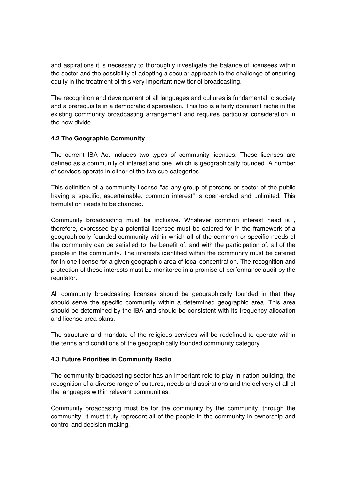and aspirations it is necessary to thoroughly investigate the balance of licensees within the sector and the possibility of adopting a secular approach to the challenge of ensuring equity in the treatment of this very important new tier of broadcasting.

The recognition and development of all languages and cultures is fundamental to society and a prerequisite in a democratic dispensation. This too is a fairly dominant niche in the existing community broadcasting arrangement and requires particular consideration in the new divide.

## **4.2 The Geographic Community**

The current IBA Act includes two types of community licenses. These licenses are defined as a community of interest and one, which is geographically founded. A number of services operate in either of the two sub-categories.

This definition of a community license "as any group of persons or sector of the public having a specific, ascertainable, common interest" is open-ended and unlimited. This formulation needs to be changed.

Community broadcasting must be inclusive. Whatever common interest need is , therefore, expressed by a potential licensee must be catered for in the framework of a geographically founded community within which all of the common or specific needs of the community can be satisfied to the benefit of, and with the participation of, all of the people in the community. The interests identified within the community must be catered for in one license for a given geographic area of local concentration. The recognition and protection of these interests must be monitored in a promise of performance audit by the regulator.

All community broadcasting licenses should be geographically founded in that they should serve the specific community within a determined geographic area. This area should be determined by the IBA and should be consistent with its frequency allocation and license area plans.

The structure and mandate of the religious services will be redefined to operate within the terms and conditions of the geographically founded community category.

#### **4.3 Future Priorities in Community Radio**

The community broadcasting sector has an important role to play in nation building, the recognition of a diverse range of cultures, needs and aspirations and the delivery of all of the languages within relevant communities.

Community broadcasting must be for the community by the community, through the community. It must truly represent all of the people in the community in ownership and control and decision making.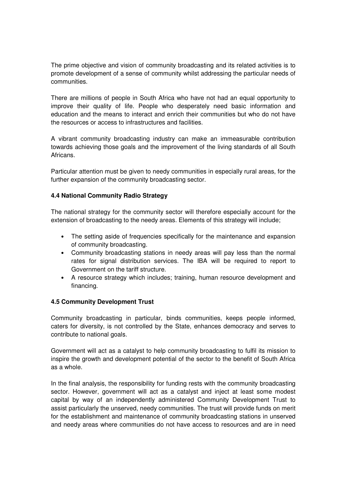The prime objective and vision of community broadcasting and its related activities is to promote development of a sense of community whilst addressing the particular needs of communities.

There are millions of people in South Africa who have not had an equal opportunity to improve their quality of life. People who desperately need basic information and education and the means to interact and enrich their communities but who do not have the resources or access to infrastructures and facilities.

A vibrant community broadcasting industry can make an immeasurable contribution towards achieving those goals and the improvement of the living standards of all South Africans.

Particular attention must be given to needy communities in especially rural areas, for the further expansion of the community broadcasting sector.

## **4.4 National Community Radio Strategy**

The national strategy for the community sector will therefore especially account for the extension of broadcasting to the needy areas. Elements of this strategy will include;

- The setting aside of frequencies specifically for the maintenance and expansion of community broadcasting.
- Community broadcasting stations in needy areas will pay less than the normal rates for signal distribution services. The IBA will be required to report to Government on the tariff structure.
- A resource strategy which includes; training, human resource development and financing.

#### **4.5 Community Development Trust**

Community broadcasting in particular, binds communities, keeps people informed, caters for diversity, is not controlled by the State, enhances democracy and serves to contribute to national goals.

Government will act as a catalyst to help community broadcasting to fulfil its mission to inspire the growth and development potential of the sector to the benefit of South Africa as a whole.

In the final analysis, the responsibility for funding rests with the community broadcasting sector. However, government will act as a catalyst and inject at least some modest capital by way of an independently administered Community Development Trust to assist particularly the unserved, needy communities. The trust will provide funds on merit for the establishment and maintenance of community broadcasting stations in unserved and needy areas where communities do not have access to resources and are in need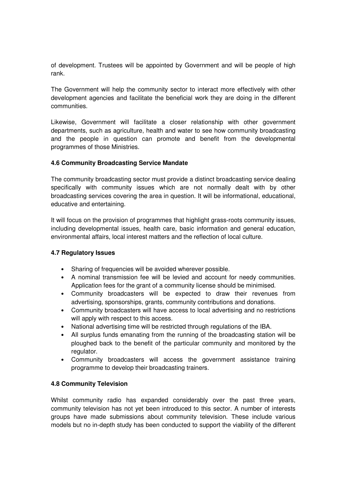of development. Trustees will be appointed by Government and will be people of high rank.

The Government will help the community sector to interact more effectively with other development agencies and facilitate the beneficial work they are doing in the different communities.

Likewise, Government will facilitate a closer relationship with other government departments, such as agriculture, health and water to see how community broadcasting and the people in question can promote and benefit from the developmental programmes of those Ministries.

#### **4.6 Community Broadcasting Service Mandate**

The community broadcasting sector must provide a distinct broadcasting service dealing specifically with community issues which are not normally dealt with by other broadcasting services covering the area in question. It will be informational, educational, educative and entertaining.

It will focus on the provision of programmes that highlight grass-roots community issues, including developmental issues, health care, basic information and general education, environmental affairs, local interest matters and the reflection of local culture.

#### **4.7 Regulatory Issues**

- Sharing of frequencies will be avoided wherever possible.
- A nominal transmission fee will be levied and account for needy communities. Application fees for the grant of a community license should be minimised.
- Community broadcasters will be expected to draw their revenues from advertising, sponsorships, grants, community contributions and donations.
- Community broadcasters will have access to local advertising and no restrictions will apply with respect to this access.
- National advertising time will be restricted through regulations of the IBA.
- All surplus funds emanating from the running of the broadcasting station will be ploughed back to the benefit of the particular community and monitored by the regulator.
- Community broadcasters will access the government assistance training programme to develop their broadcasting trainers.

# **4.8 Community Television**

Whilst community radio has expanded considerably over the past three years, community television has not yet been introduced to this sector. A number of interests groups have made submissions about community television. These include various models but no in-depth study has been conducted to support the viability of the different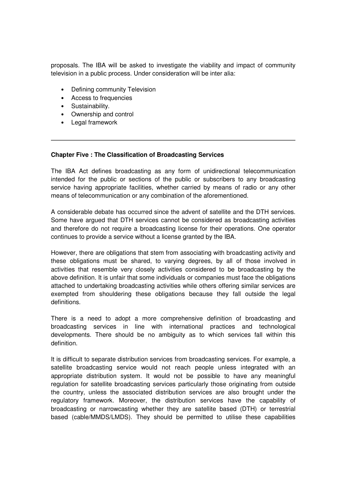proposals. The IBA will be asked to investigate the viability and impact of community television in a public process. Under consideration will be inter alia:

- Defining community Television
- Access to frequencies
- Sustainability.
- Ownership and control
- Legal framework

#### **Chapter Five : The Classification of Broadcasting Services**

The IBA Act defines broadcasting as any form of unidirectional telecommunication intended for the public or sections of the public or subscribers to any broadcasting service having appropriate facilities, whether carried by means of radio or any other means of telecommunication or any combination of the aforementioned.

A considerable debate has occurred since the advent of satellite and the DTH services. Some have argued that DTH services cannot be considered as broadcasting activities and therefore do not require a broadcasting license for their operations. One operator continues to provide a service without a license granted by the IBA.

However, there are obligations that stem from associating with broadcasting activity and these obligations must be shared, to varying degrees, by all of those involved in activities that resemble very closely activities considered to be broadcasting by the above definition. It is unfair that some individuals or companies must face the obligations attached to undertaking broadcasting activities while others offering similar services are exempted from shouldering these obligations because they fall outside the legal definitions.

There is a need to adopt a more comprehensive definition of broadcasting and broadcasting services in line with international practices and technological developments. There should be no ambiguity as to which services fall within this definition.

It is difficult to separate distribution services from broadcasting services. For example, a satellite broadcasting service would not reach people unless integrated with an appropriate distribution system. It would not be possible to have any meaningful regulation for satellite broadcasting services particularly those originating from outside the country, unless the associated distribution services are also brought under the regulatory framework. Moreover, the distribution services have the capability of broadcasting or narrowcasting whether they are satellite based (DTH) or terrestrial based (cable/MMDS/LMDS). They should be permitted to utilise these capabilities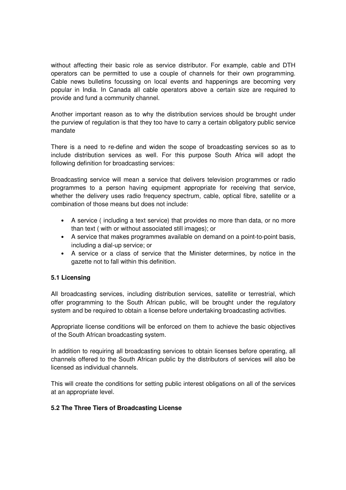without affecting their basic role as service distributor. For example, cable and DTH operators can be permitted to use a couple of channels for their own programming. Cable news bulletins focussing on local events and happenings are becoming very popular in India. In Canada all cable operators above a certain size are required to provide and fund a community channel.

Another important reason as to why the distribution services should be brought under the purview of regulation is that they too have to carry a certain obligatory public service mandate

There is a need to re-define and widen the scope of broadcasting services so as to include distribution services as well. For this purpose South Africa will adopt the following definition for broadcasting services:

Broadcasting service will mean a service that delivers television programmes or radio programmes to a person having equipment appropriate for receiving that service, whether the delivery uses radio frequency spectrum, cable, optical fibre, satellite or a combination of those means but does not include:

- A service ( including a text service) that provides no more than data, or no more than text ( with or without associated still images); or
- A service that makes programmes available on demand on a point-to-point basis, including a dial-up service; or
- A service or a class of service that the Minister determines, by notice in the gazette not to fall within this definition.

# **5.1 Licensing**

All broadcasting services, including distribution services, satellite or terrestrial, which offer programming to the South African public, will be brought under the regulatory system and be required to obtain a license before undertaking broadcasting activities.

Appropriate license conditions will be enforced on them to achieve the basic objectives of the South African broadcasting system.

In addition to requiring all broadcasting services to obtain licenses before operating, all channels offered to the South African public by the distributors of services will also be licensed as individual channels.

This will create the conditions for setting public interest obligations on all of the services at an appropriate level.

#### **5.2 The Three Tiers of Broadcasting License**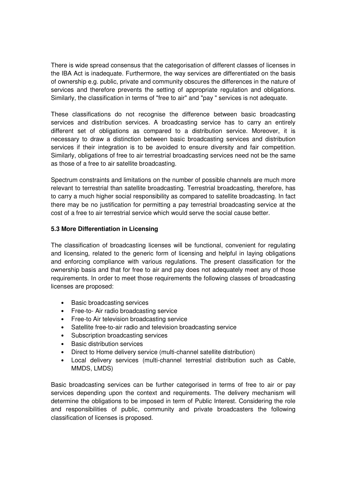There is wide spread consensus that the categorisation of different classes of licenses in the IBA Act is inadequate. Furthermore, the way services are differentiated on the basis of ownership e.g. public, private and community obscures the differences in the nature of services and therefore prevents the setting of appropriate regulation and obligations. Similarly, the classification in terms of "free to air" and "pay " services is not adequate.

These classifications do not recognise the difference between basic broadcasting services and distribution services. A broadcasting service has to carry an entirely different set of obligations as compared to a distribution service. Moreover, it is necessary to draw a distinction between basic broadcasting services and distribution services if their integration is to be avoided to ensure diversity and fair competition. Similarly, obligations of free to air terrestrial broadcasting services need not be the same as those of a free to air satellite broadcasting.

Spectrum constraints and limitations on the number of possible channels are much more relevant to terrestrial than satellite broadcasting. Terrestrial broadcasting, therefore, has to carry a much higher social responsibility as compared to satellite broadcasting. In fact there may be no justification for permitting a pay terrestrial broadcasting service at the cost of a free to air terrestrial service which would serve the social cause better.

## **5.3 More Differentiation in Licensing**

The classification of broadcasting licenses will be functional, convenient for regulating and licensing, related to the generic form of licensing and helpful in laying obligations and enforcing compliance with various regulations. The present classification for the ownership basis and that for free to air and pay does not adequately meet any of those requirements. In order to meet those requirements the following classes of broadcasting licenses are proposed:

- Basic broadcasting services
- Free-to- Air radio broadcasting service
- Free-to Air television broadcasting service
- Satellite free-to-air radio and television broadcasting service
- Subscription broadcasting services
- Basic distribution services
- Direct to Home delivery service (multi-channel satellite distribution)
- Local delivery services (multi-channel terrestrial distribution such as Cable, MMDS, LMDS)

Basic broadcasting services can be further categorised in terms of free to air or pay services depending upon the context and requirements. The delivery mechanism will determine the obligations to be imposed in term of Public Interest. Considering the role and responsibilities of public, community and private broadcasters the following classification of licenses is proposed.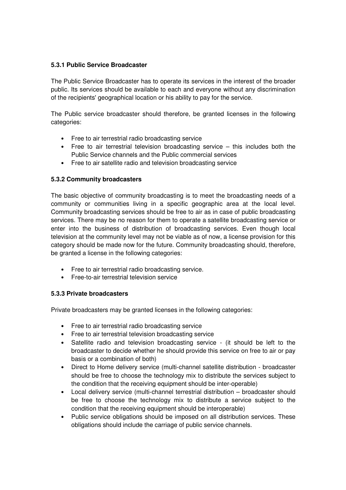### **5.3.1 Public Service Broadcaster**

The Public Service Broadcaster has to operate its services in the interest of the broader public. Its services should be available to each and everyone without any discrimination of the recipients' geographical location or his ability to pay for the service.

The Public service broadcaster should therefore, be granted licenses in the following categories:

- Free to air terrestrial radio broadcasting service
- Free to air terrestrial television broadcasting service this includes both the Public Service channels and the Public commercial services
- Free to air satellite radio and television broadcasting service

## **5.3.2 Community broadcasters**

The basic objective of community broadcasting is to meet the broadcasting needs of a community or communities living in a specific geographic area at the local level. Community broadcasting services should be free to air as in case of public broadcasting services. There may be no reason for them to operate a satellite broadcasting service or enter into the business of distribution of broadcasting services. Even though local television at the community level may not be viable as of now, a license provision for this category should be made now for the future. Community broadcasting should, therefore, be granted a license in the following categories:

- Free to air terrestrial radio broadcasting service.
- Free-to-air terrestrial television service

#### **5.3.3 Private broadcasters**

Private broadcasters may be granted licenses in the following categories:

- Free to air terrestrial radio broadcasting service
- Free to air terrestrial television broadcasting service
- Satellite radio and television broadcasting service (it should be left to the broadcaster to decide whether he should provide this service on free to air or pay basis or a combination of both)
- Direct to Home delivery service (multi-channel satellite distribution broadcaster should be free to choose the technology mix to distribute the services subject to the condition that the receiving equipment should be inter-operable)
- Local delivery service (multi-channel terrestrial distribution broadcaster should be free to choose the technology mix to distribute a service subject to the condition that the receiving equipment should be interoperable)
- Public service obligations should be imposed on all distribution services. These obligations should include the carriage of public service channels.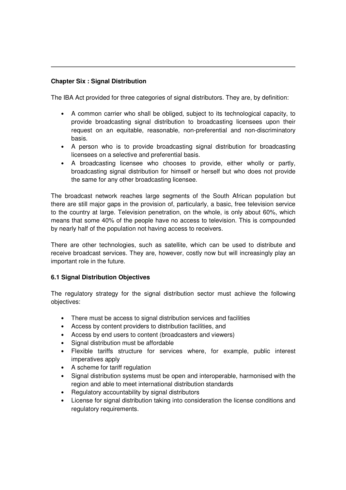## **Chapter Six : Signal Distribution**

The IBA Act provided for three categories of signal distributors. They are, by definition:

- A common carrier who shall be obliged, subject to its technological capacity, to provide broadcasting signal distribution to broadcasting licensees upon their request on an equitable, reasonable, non-preferential and non-discriminatory basis.
- A person who is to provide broadcasting signal distribution for broadcasting licensees on a selective and preferential basis.
- A broadcasting licensee who chooses to provide, either wholly or partly, broadcasting signal distribution for himself or herself but who does not provide the same for any other broadcasting licensee.

The broadcast network reaches large segments of the South African population but there are still major gaps in the provision of, particularly, a basic, free television service to the country at large. Television penetration, on the whole, is only about 60%, which means that some 40% of the people have no access to television. This is compounded by nearly half of the population not having access to receivers.

There are other technologies, such as satellite, which can be used to distribute and receive broadcast services. They are, however, costly now but will increasingly play an important role in the future.

#### **6.1 Signal Distribution Objectives**

The regulatory strategy for the signal distribution sector must achieve the following objectives:

- There must be access to signal distribution services and facilities
- Access by content providers to distribution facilities, and
- Access by end users to content (broadcasters and viewers)
- Signal distribution must be affordable
- Flexible tariffs structure for services where, for example, public interest imperatives apply
- A scheme for tariff regulation
- Signal distribution systems must be open and interoperable, harmonised with the region and able to meet international distribution standards
- Regulatory accountability by signal distributors
- License for signal distribution taking into consideration the license conditions and regulatory requirements.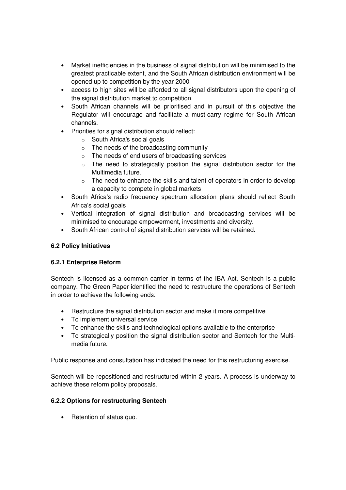- Market inefficiencies in the business of signal distribution will be minimised to the greatest practicable extent, and the South African distribution environment will be opened up to competition by the year 2000
- access to high sites will be afforded to all signal distributors upon the opening of the signal distribution market to competition.
- South African channels will be prioritised and in pursuit of this objective the Regulator will encourage and facilitate a must-carry regime for South African channels.
- Priorities for signal distribution should reflect:
	- o South Africa's social goals
	- o The needs of the broadcasting community
	- o The needs of end users of broadcasting services
	- $\circ$  The need to strategically position the signal distribution sector for the Multimedia future.
	- o The need to enhance the skills and talent of operators in order to develop a capacity to compete in global markets
- South Africa's radio frequency spectrum allocation plans should reflect South Africa's social goals
- Vertical integration of signal distribution and broadcasting services will be minimised to encourage empowerment, investments and diversity.
- South African control of signal distribution services will be retained.

# **6.2 Policy Initiatives**

# **6.2.1 Enterprise Reform**

Sentech is licensed as a common carrier in terms of the IBA Act. Sentech is a public company. The Green Paper identified the need to restructure the operations of Sentech in order to achieve the following ends:

- Restructure the signal distribution sector and make it more competitive
- To implement universal service
- To enhance the skills and technological options available to the enterprise
- To strategically position the signal distribution sector and Sentech for the Multimedia future.

Public response and consultation has indicated the need for this restructuring exercise.

Sentech will be repositioned and restructured within 2 years. A process is underway to achieve these reform policy proposals.

#### **6.2.2 Options for restructuring Sentech**

• Retention of status quo.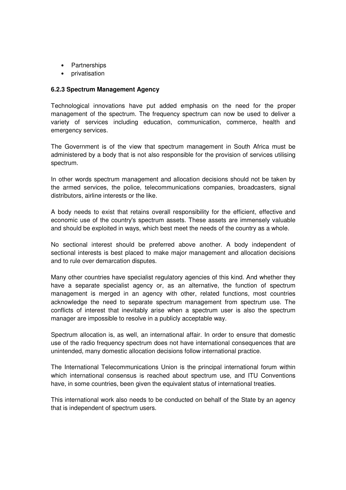- Partnerships
- privatisation

### **6.2.3 Spectrum Management Agency**

Technological innovations have put added emphasis on the need for the proper management of the spectrum. The frequency spectrum can now be used to deliver a variety of services including education, communication, commerce, health and emergency services.

The Government is of the view that spectrum management in South Africa must be administered by a body that is not also responsible for the provision of services utilising spectrum.

In other words spectrum management and allocation decisions should not be taken by the armed services, the police, telecommunications companies, broadcasters, signal distributors, airline interests or the like.

A body needs to exist that retains overall responsibility for the efficient, effective and economic use of the country's spectrum assets. These assets are immensely valuable and should be exploited in ways, which best meet the needs of the country as a whole.

No sectional interest should be preferred above another. A body independent of sectional interests is best placed to make major management and allocation decisions and to rule over demarcation disputes.

Many other countries have specialist regulatory agencies of this kind. And whether they have a separate specialist agency or, as an alternative, the function of spectrum management is merged in an agency with other, related functions, most countries acknowledge the need to separate spectrum management from spectrum use. The conflicts of interest that inevitably arise when a spectrum user is also the spectrum manager are impossible to resolve in a publicly acceptable way.

Spectrum allocation is, as well, an international affair. In order to ensure that domestic use of the radio frequency spectrum does not have international consequences that are unintended, many domestic allocation decisions follow international practice.

The International Telecommunications Union is the principal international forum within which international consensus is reached about spectrum use, and ITU Conventions have, in some countries, been given the equivalent status of international treaties.

This international work also needs to be conducted on behalf of the State by an agency that is independent of spectrum users.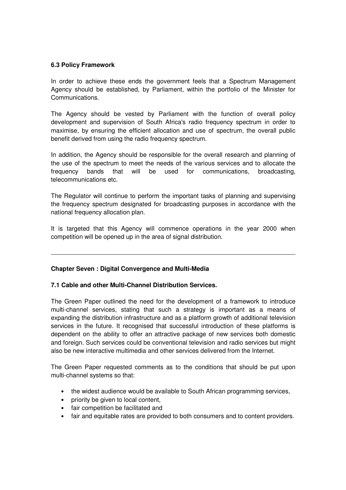### **6.3 Policy Framework**

In order to achieve these ends the government feels that a Spectrum Management Agency should be established, by Parliament, within the portfolio of the Minister for Communications.

The Agency should be vested by Parliament with the function of overall policy development and supervision of South Africa's radio frequency spectrum in order to maximise, by ensuring the efficient allocation and use of spectrum, the overall public benefit derived from using the radio frequency spectrum.

In addition, the Agency should be responsible for the overall research and planning of the use of the spectrum to meet the needs of the various services and to allocate the frequency bands that will be used for communications, broadcasting, telecommunications etc.

The Regulator will continue to perform the important tasks of planning and supervising the frequency spectrum designated for broadcasting purposes in accordance with the national frequency allocation plan.

It is targeted that this Agency will commence operations in the year 2000 when competition will be opened up in the area of signal distribution.

#### **Chapter Seven : Digital Convergence and Multi-Media**

#### **7.1 Cable and other Multi-Channel Distribution Services.**

The Green Paper outlined the need for the development of a framework to introduce multi-channel services, stating that such a strategy is important as a means of expanding the distribution infrastructure and as a platform growth of additional television services in the future. It recognised that successful introduction of these platforms is dependent on the ability to offer an attractive package of new services both domestic and foreign. Such services could be conventional television and radio services but might also be new interactive multimedia and other services delivered from the Internet.

The Green Paper requested comments as to the conditions that should be put upon multi-channel systems so that:

- the widest audience would be available to South African programming services,
- priority be given to local content,
- fair competition be facilitated and
- fair and equitable rates are provided to both consumers and to content providers.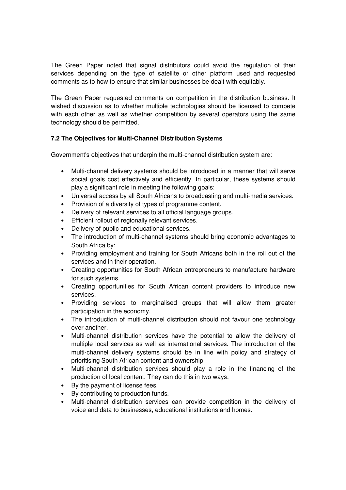The Green Paper noted that signal distributors could avoid the regulation of their services depending on the type of satellite or other platform used and requested comments as to how to ensure that similar businesses be dealt with equitably.

The Green Paper requested comments on competition in the distribution business. It wished discussion as to whether multiple technologies should be licensed to compete with each other as well as whether competition by several operators using the same technology should be permitted.

# **7.2 The Objectives for Multi-Channel Distribution Systems**

Government's objectives that underpin the multi-channel distribution system are:

- Multi-channel delivery systems should be introduced in a manner that will serve social goals cost effectively and efficiently. In particular, these systems should play a significant role in meeting the following goals:
- Universal access by all South Africans to broadcasting and multi-media services.
- Provision of a diversity of types of programme content.
- Delivery of relevant services to all official language groups.
- Efficient rollout of regionally relevant services.
- Delivery of public and educational services.
- The introduction of multi-channel systems should bring economic advantages to South Africa by:
- Providing employment and training for South Africans both in the roll out of the services and in their operation.
- Creating opportunities for South African entrepreneurs to manufacture hardware for such systems.
- Creating opportunities for South African content providers to introduce new services.
- Providing services to marginalised groups that will allow them greater participation in the economy.
- The introduction of multi-channel distribution should not favour one technology over another.
- Multi-channel distribution services have the potential to allow the delivery of multiple local services as well as international services. The introduction of the multi-channel delivery systems should be in line with policy and strategy of prioritising South African content and ownership
- Multi-channel distribution services should play a role in the financing of the production of local content. They can do this in two ways:
- By the payment of license fees.
- By contributing to production funds.
- Multi-channel distribution services can provide competition in the delivery of voice and data to businesses, educational institutions and homes.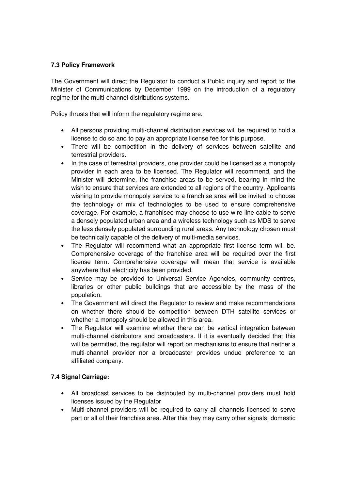## **7.3 Policy Framework**

The Government will direct the Regulator to conduct a Public inquiry and report to the Minister of Communications by December 1999 on the introduction of a regulatory regime for the multi-channel distributions systems.

Policy thrusts that will inform the regulatory regime are:

- All persons providing multi-channel distribution services will be required to hold a license to do so and to pay an appropriate license fee for this purpose.
- There will be competition in the delivery of services between satellite and terrestrial providers.
- In the case of terrestrial providers, one provider could be licensed as a monopoly provider in each area to be licensed. The Regulator will recommend, and the Minister will determine, the franchise areas to be served, bearing in mind the wish to ensure that services are extended to all regions of the country. Applicants wishing to provide monopoly service to a franchise area will be invited to choose the technology or mix of technologies to be used to ensure comprehensive coverage. For example, a franchisee may choose to use wire line cable to serve a densely populated urban area and a wireless technology such as MDS to serve the less densely populated surrounding rural areas. Any technology chosen must be technically capable of the delivery of multi-media services.
- The Regulator will recommend what an appropriate first license term will be. Comprehensive coverage of the franchise area will be required over the first license term. Comprehensive coverage will mean that service is available anywhere that electricity has been provided.
- Service may be provided to Universal Service Agencies, community centres, libraries or other public buildings that are accessible by the mass of the population.
- The Government will direct the Regulator to review and make recommendations on whether there should be competition between DTH satellite services or whether a monopoly should be allowed in this area.
- The Regulator will examine whether there can be vertical integration between multi-channel distributors and broadcasters. If it is eventually decided that this will be permitted, the regulator will report on mechanisms to ensure that neither a multi-channel provider nor a broadcaster provides undue preference to an affiliated company.

#### **7.4 Signal Carriage:**

- All broadcast services to be distributed by multi-channel providers must hold licenses issued by the Regulator
- Multi-channel providers will be required to carry all channels licensed to serve part or all of their franchise area. After this they may carry other signals, domestic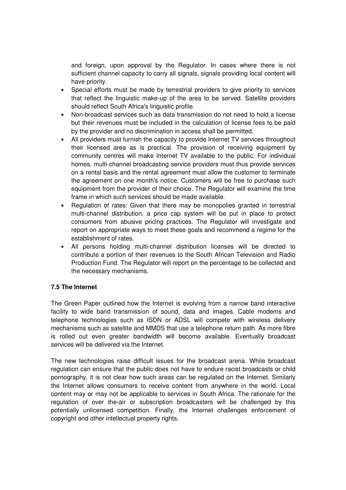and foreign, upon approval by the Regulator. In cases where there is not sufficient channel capacity to carry all signals, signals providing local content will have priority.

- Special efforts must be made by terrestrial providers to give priority to services that reflect the linguistic make-up of the area to be served. Satellite providers should reflect South Africa's linguistic profile.
- Non-broadcast services such as data transmission do not need to hold a license but their revenues must be included in the calculation of license fees to be paid by the provider and no discrimination in access shall be permitted.
- All providers must furnish the capacity to provide Internet TV services throughout their licensed area as is practical. The provision of receiving equipment by community centres will make Internet TV available to the public. For individual homes, multi-channel broadcasting service providers must thus provide services on a rental basis and the rental agreement must allow the customer to terminate the agreement on one month's notice. Customers will be free to purchase such equipment from the provider of their choice. The Regulator will examine the time frame in which such services should be made available.
- Regulation of rates: Given that there may be monopolies granted in terrestrial multi-channel distribution, a price cap system will be put in place to protect consumers from abusive pricing practices. The Regulator will investigate and report on appropriate ways to meet these goals and recommend a regime for the establishment of rates.
- All persons holding multi-channel distribution licenses will be directed to contribute a portion of their revenues to the South African Television and Radio Production Fund. The Regulator will report on the percentage to be collected and the necessary mechanisms.

#### **7.5 The Internet**

The Green Paper outlined how the Internet is evolving from a narrow band interactive facility to wide band transmission of sound, data and images. Cable modems and telephone technologies such as ISDN or ADSL will compete with wireless delivery mechanisms such as satellite and MMDS that use a telephone return path. As more fibre is rolled out even greater bandwidth will become available. Eventually broadcast services will be delivered via the Internet.

The new technologies raise difficult issues for the broadcast arena. While broadcast regulation can ensure that the public does not have to endure racist broadcasts or child pornography, it is not clear how such areas can be regulated on the Internet. Similarly the Internet allows consumers to receive content from anywhere in the world. Local content may or may not be applicable to services in South Africa. The rationale for the regulation of over the-air or subscription broadcasters will be challenged by this potentially unlicensed competition. Finally, the Internet challenges enforcement of copyright and other intellectual property rights.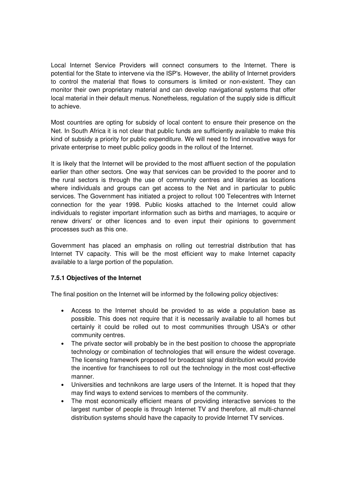Local Internet Service Providers will connect consumers to the Internet. There is potential for the State to intervene via the ISP's. However, the ability of Internet providers to control the material that flows to consumers is limited or non-existent. They can monitor their own proprietary material and can develop navigational systems that offer local material in their default menus. Nonetheless, regulation of the supply side is difficult to achieve.

Most countries are opting for subsidy of local content to ensure their presence on the Net. In South Africa it is not clear that public funds are sufficiently available to make this kind of subsidy a priority for public expenditure. We will need to find innovative ways for private enterprise to meet public policy goods in the rollout of the Internet.

It is likely that the Internet will be provided to the most affluent section of the population earlier than other sectors. One way that services can be provided to the poorer and to the rural sectors is through the use of community centres and libraries as locations where individuals and groups can get access to the Net and in particular to public services. The Government has initiated a project to rollout 100 Telecentres with Internet connection for the year 1998. Public kiosks attached to the Internet could allow individuals to register important information such as births and marriages, to acquire or renew drivers' or other licences and to even input their opinions to government processes such as this one.

Government has placed an emphasis on rolling out terrestrial distribution that has Internet TV capacity. This will be the most efficient way to make Internet capacity available to a large portion of the population.

# **7.5.1 Objectives of the Internet**

The final position on the Internet will be informed by the following policy objectives:

- Access to the Internet should be provided to as wide a population base as possible. This does not require that it is necessarily available to all homes but certainly it could be rolled out to most communities through USA's or other community centres.
- The private sector will probably be in the best position to choose the appropriate technology or combination of technologies that will ensure the widest coverage. The licensing framework proposed for broadcast signal distribution would provide the incentive for franchisees to roll out the technology in the most cost-effective manner.
- Universities and technikons are large users of the Internet. It is hoped that they may find ways to extend services to members of the community.
- The most economically efficient means of providing interactive services to the largest number of people is through Internet TV and therefore, all multi-channel distribution systems should have the capacity to provide Internet TV services.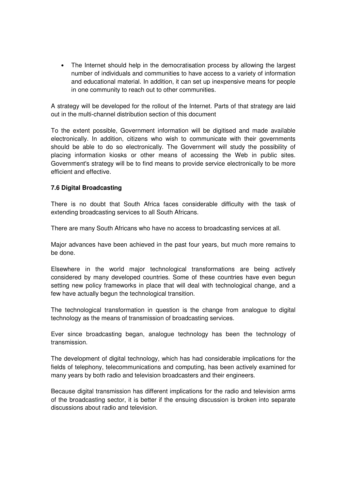• The Internet should help in the democratisation process by allowing the largest number of individuals and communities to have access to a variety of information and educational material. In addition, it can set up inexpensive means for people in one community to reach out to other communities.

A strategy will be developed for the rollout of the Internet. Parts of that strategy are laid out in the multi-channel distribution section of this document

To the extent possible, Government information will be digitised and made available electronically. In addition, citizens who wish to communicate with their governments should be able to do so electronically. The Government will study the possibility of placing information kiosks or other means of accessing the Web in public sites. Government's strategy will be to find means to provide service electronically to be more efficient and effective.

#### **7.6 Digital Broadcasting**

There is no doubt that South Africa faces considerable difficulty with the task of extending broadcasting services to all South Africans.

There are many South Africans who have no access to broadcasting services at all.

Major advances have been achieved in the past four years, but much more remains to be done.

Elsewhere in the world major technological transformations are being actively considered by many developed countries. Some of these countries have even begun setting new policy frameworks in place that will deal with technological change, and a few have actually begun the technological transition.

The technological transformation in question is the change from analogue to digital technology as the means of transmission of broadcasting services.

Ever since broadcasting began, analogue technology has been the technology of transmission.

The development of digital technology, which has had considerable implications for the fields of telephony, telecommunications and computing, has been actively examined for many years by both radio and television broadcasters and their engineers.

Because digital transmission has different implications for the radio and television arms of the broadcasting sector, it is better if the ensuing discussion is broken into separate discussions about radio and television.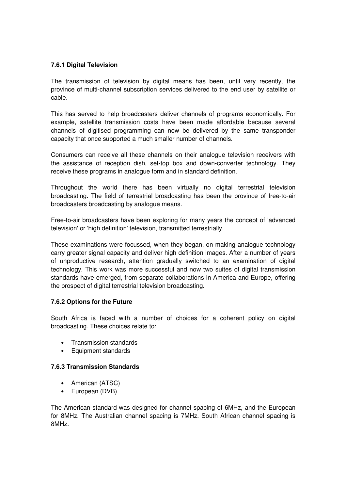### **7.6.1 Digital Television**

The transmission of television by digital means has been, until very recently, the province of multi-channel subscription services delivered to the end user by satellite or cable.

This has served to help broadcasters deliver channels of programs economically. For example, satellite transmission costs have been made affordable because several channels of digitised programming can now be delivered by the same transponder capacity that once supported a much smaller number of channels.

Consumers can receive all these channels on their analogue television receivers with the assistance of reception dish, set-top box and down-converter technology. They receive these programs in analogue form and in standard definition.

Throughout the world there has been virtually no digital terrestrial television broadcasting. The field of terrestrial broadcasting has been the province of free-to-air broadcasters broadcasting by analogue means.

Free-to-air broadcasters have been exploring for many years the concept of 'advanced television' or 'high definition' television, transmitted terrestrially.

These examinations were focussed, when they began, on making analogue technology carry greater signal capacity and deliver high definition images. After a number of years of unproductive research, attention gradually switched to an examination of digital technology. This work was more successful and now two suites of digital transmission standards have emerged, from separate collaborations in America and Europe, offering the prospect of digital terrestrial television broadcasting.

# **7.6.2 Options for the Future**

South Africa is faced with a number of choices for a coherent policy on digital broadcasting. These choices relate to:

- Transmission standards
- Equipment standards

## **7.6.3 Transmission Standards**

- American (ATSC)
- European (DVB)

The American standard was designed for channel spacing of 6MHz, and the European for 8MHz. The Australian channel spacing is 7MHz. South African channel spacing is 8MHz.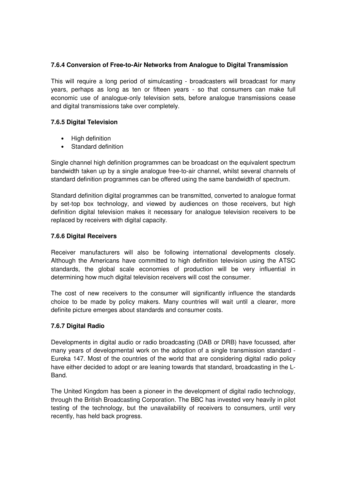### **7.6.4 Conversion of Free-to-Air Networks from Analogue to Digital Transmission**

This will require a long period of simulcasting - broadcasters will broadcast for many years, perhaps as long as ten or fifteen years - so that consumers can make full economic use of analogue-only television sets, before analogue transmissions cease and digital transmissions take over completely.

### **7.6.5 Digital Television**

- High definition
- Standard definition

Single channel high definition programmes can be broadcast on the equivalent spectrum bandwidth taken up by a single analogue free-to-air channel, whilst several channels of standard definition programmes can be offered using the same bandwidth of spectrum.

Standard definition digital programmes can be transmitted, converted to analogue format by set-top box technology, and viewed by audiences on those receivers, but high definition digital television makes it necessary for analogue television receivers to be replaced by receivers with digital capacity.

#### **7.6.6 Digital Receivers**

Receiver manufacturers will also be following international developments closely. Although the Americans have committed to high definition television using the ATSC standards, the global scale economies of production will be very influential in determining how much digital television receivers will cost the consumer.

The cost of new receivers to the consumer will significantly influence the standards choice to be made by policy makers. Many countries will wait until a clearer, more definite picture emerges about standards and consumer costs.

#### **7.6.7 Digital Radio**

Developments in digital audio or radio broadcasting (DAB or DRB) have focussed, after many years of developmental work on the adoption of a single transmission standard - Eureka 147. Most of the countries of the world that are considering digital radio policy have either decided to adopt or are leaning towards that standard, broadcasting in the L-Band.

The United Kingdom has been a pioneer in the development of digital radio technology, through the British Broadcasting Corporation. The BBC has invested very heavily in pilot testing of the technology, but the unavailability of receivers to consumers, until very recently, has held back progress.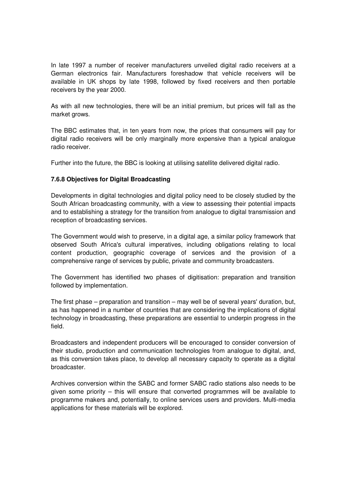In late 1997 a number of receiver manufacturers unveiled digital radio receivers at a German electronics fair. Manufacturers foreshadow that vehicle receivers will be available in UK shops by late 1998, followed by fixed receivers and then portable receivers by the year 2000.

As with all new technologies, there will be an initial premium, but prices will fall as the market grows.

The BBC estimates that, in ten years from now, the prices that consumers will pay for digital radio receivers will be only marginally more expensive than a typical analogue radio receiver.

Further into the future, the BBC is looking at utilising satellite delivered digital radio.

#### **7.6.8 Objectives for Digital Broadcasting**

Developments in digital technologies and digital policy need to be closely studied by the South African broadcasting community, with a view to assessing their potential impacts and to establishing a strategy for the transition from analogue to digital transmission and reception of broadcasting services.

The Government would wish to preserve, in a digital age, a similar policy framework that observed South Africa's cultural imperatives, including obligations relating to local content production, geographic coverage of services and the provision of a comprehensive range of services by public, private and community broadcasters.

The Government has identified two phases of digitisation: preparation and transition followed by implementation.

The first phase – preparation and transition – may well be of several years' duration, but, as has happened in a number of countries that are considering the implications of digital technology in broadcasting, these preparations are essential to underpin progress in the field.

Broadcasters and independent producers will be encouraged to consider conversion of their studio, production and communication technologies from analogue to digital, and, as this conversion takes place, to develop all necessary capacity to operate as a digital broadcaster.

Archives conversion within the SABC and former SABC radio stations also needs to be given some priority – this will ensure that converted programmes will be available to programme makers and, potentially, to online services users and providers. Multi-media applications for these materials will be explored.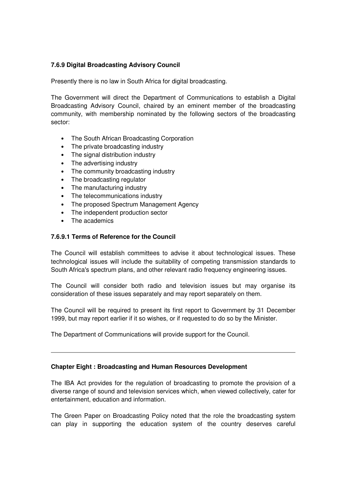## **7.6.9 Digital Broadcasting Advisory Council**

Presently there is no law in South Africa for digital broadcasting.

The Government will direct the Department of Communications to establish a Digital Broadcasting Advisory Council, chaired by an eminent member of the broadcasting community, with membership nominated by the following sectors of the broadcasting sector:

- The South African Broadcasting Corporation
- The private broadcasting industry
- The signal distribution industry
- The advertising industry
- The community broadcasting industry
- The broadcasting regulator
- The manufacturing industry
- The telecommunications industry
- The proposed Spectrum Management Agency
- The independent production sector
- The academics

#### **7.6.9.1 Terms of Reference for the Council**

The Council will establish committees to advise it about technological issues. These technological issues will include the suitability of competing transmission standards to South Africa's spectrum plans, and other relevant radio frequency engineering issues.

The Council will consider both radio and television issues but may organise its consideration of these issues separately and may report separately on them.

The Council will be required to present its first report to Government by 31 December 1999, but may report earlier if it so wishes, or if requested to do so by the Minister.

The Department of Communications will provide support for the Council.

#### **Chapter Eight : Broadcasting and Human Resources Development**

The IBA Act provides for the regulation of broadcasting to promote the provision of a diverse range of sound and television services which, when viewed collectively, cater for entertainment, education and information.

The Green Paper on Broadcasting Policy noted that the role the broadcasting system can play in supporting the education system of the country deserves careful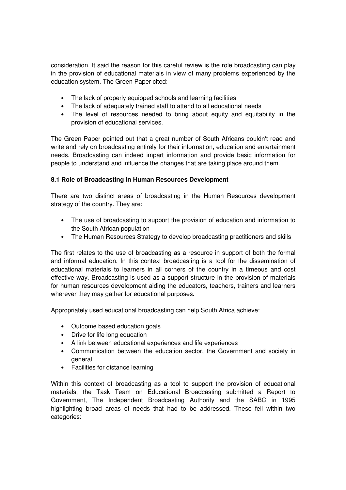consideration. It said the reason for this careful review is the role broadcasting can play in the provision of educational materials in view of many problems experienced by the education system. The Green Paper cited:

- The lack of properly equipped schools and learning facilities
- The lack of adequately trained staff to attend to all educational needs
- The level of resources needed to bring about equity and equitability in the provision of educational services.

The Green Paper pointed out that a great number of South Africans couldn't read and write and rely on broadcasting entirely for their information, education and entertainment needs. Broadcasting can indeed impart information and provide basic information for people to understand and influence the changes that are taking place around them.

## **8.1 Role of Broadcasting in Human Resources Development**

There are two distinct areas of broadcasting in the Human Resources development strategy of the country. They are:

- The use of broadcasting to support the provision of education and information to the South African population
- The Human Resources Strategy to develop broadcasting practitioners and skills

The first relates to the use of broadcasting as a resource in support of both the formal and informal education. In this context broadcasting is a tool for the dissemination of educational materials to learners in all corners of the country in a timeous and cost effective way. Broadcasting is used as a support structure in the provision of materials for human resources development aiding the educators, teachers, trainers and learners wherever they may gather for educational purposes.

Appropriately used educational broadcasting can help South Africa achieve:

- Outcome based education goals
- Drive for life long education
- A link between educational experiences and life experiences
- Communication between the education sector, the Government and society in general
- Facilities for distance learning

Within this context of broadcasting as a tool to support the provision of educational materials, the Task Team on Educational Broadcasting submitted a Report to Government, The Independent Broadcasting Authority and the SABC in 1995 highlighting broad areas of needs that had to be addressed. These fell within two categories: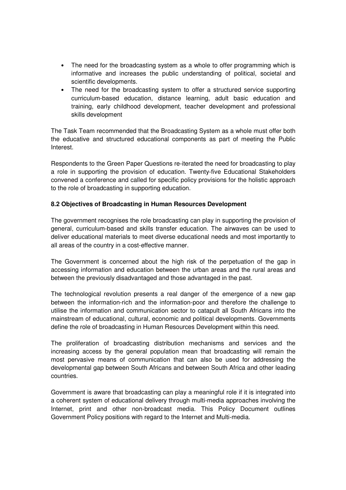- The need for the broadcasting system as a whole to offer programming which is informative and increases the public understanding of political, societal and scientific developments.
- The need for the broadcasting system to offer a structured service supporting curriculum-based education, distance learning, adult basic education and training, early childhood development, teacher development and professional skills development

The Task Team recommended that the Broadcasting System as a whole must offer both the educative and structured educational components as part of meeting the Public Interest.

Respondents to the Green Paper Questions re-iterated the need for broadcasting to play a role in supporting the provision of education. Twenty-five Educational Stakeholders convened a conference and called for specific policy provisions for the holistic approach to the role of broadcasting in supporting education.

#### **8.2 Objectives of Broadcasting in Human Resources Development**

The government recognises the role broadcasting can play in supporting the provision of general, curriculum-based and skills transfer education. The airwaves can be used to deliver educational materials to meet diverse educational needs and most importantly to all areas of the country in a cost-effective manner.

The Government is concerned about the high risk of the perpetuation of the gap in accessing information and education between the urban areas and the rural areas and between the previously disadvantaged and those advantaged in the past.

The technological revolution presents a real danger of the emergence of a new gap between the information-rich and the information-poor and therefore the challenge to utilise the information and communication sector to catapult all South Africans into the mainstream of educational, cultural, economic and political developments. Governments define the role of broadcasting in Human Resources Development within this need.

The proliferation of broadcasting distribution mechanisms and services and the increasing access by the general population mean that broadcasting will remain the most pervasive means of communication that can also be used for addressing the developmental gap between South Africans and between South Africa and other leading countries.

Government is aware that broadcasting can play a meaningful role if it is integrated into a coherent system of educational delivery through multi-media approaches involving the Internet, print and other non-broadcast media. This Policy Document outlines Government Policy positions with regard to the Internet and Multi-media.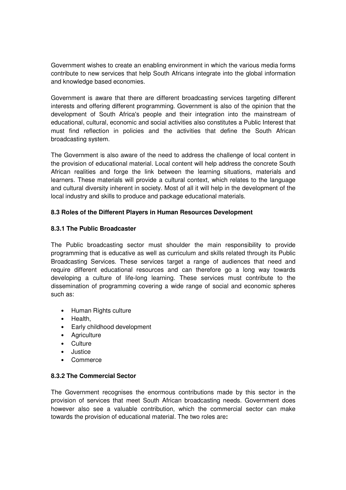Government wishes to create an enabling environment in which the various media forms contribute to new services that help South Africans integrate into the global information and knowledge based economies.

Government is aware that there are different broadcasting services targeting different interests and offering different programming. Government is also of the opinion that the development of South Africa's people and their integration into the mainstream of educational, cultural, economic and social activities also constitutes a Public Interest that must find reflection in policies and the activities that define the South African broadcasting system.

The Government is also aware of the need to address the challenge of local content in the provision of educational material. Local content will help address the concrete South African realities and forge the link between the learning situations, materials and learners. These materials will provide a cultural context, which relates to the language and cultural diversity inherent in society. Most of all it will help in the development of the local industry and skills to produce and package educational materials.

# **8.3 Roles of the Different Players in Human Resources Development**

## **8.3.1 The Public Broadcaster**

The Public broadcasting sector must shoulder the main responsibility to provide programming that is educative as well as curriculum and skills related through its Public Broadcasting Services. These services target a range of audiences that need and require different educational resources and can therefore go a long way towards developing a culture of life-long learning. These services must contribute to the dissemination of programming covering a wide range of social and economic spheres such as:

- Human Rights culture
- Health,
- Early childhood development
- Agriculture
- Culture
- Justice
- Commerce

#### **8.3.2 The Commercial Sector**

The Government recognises the enormous contributions made by this sector in the provision of services that meet South African broadcasting needs. Government does however also see a valuable contribution, which the commercial sector can make towards the provision of educational material. The two roles are**:**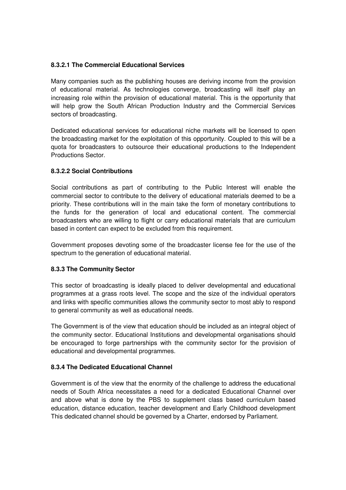## **8.3.2.1 The Commercial Educational Services**

Many companies such as the publishing houses are deriving income from the provision of educational material. As technologies converge, broadcasting will itself play an increasing role within the provision of educational material. This is the opportunity that will help grow the South African Production Industry and the Commercial Services sectors of broadcasting.

Dedicated educational services for educational niche markets will be licensed to open the broadcasting market for the exploitation of this opportunity. Coupled to this will be a quota for broadcasters to outsource their educational productions to the Independent Productions Sector.

## **8.3.2.2 Social Contributions**

Social contributions as part of contributing to the Public Interest will enable the commercial sector to contribute to the delivery of educational materials deemed to be a priority. These contributions will in the main take the form of monetary contributions to the funds for the generation of local and educational content. The commercial broadcasters who are willing to flight or carry educational materials that are curriculum based in content can expect to be excluded from this requirement.

Government proposes devoting some of the broadcaster license fee for the use of the spectrum to the generation of educational material.

#### **8.3.3 The Community Sector**

This sector of broadcasting is ideally placed to deliver developmental and educational programmes at a grass roots level. The scope and the size of the individual operators and links with specific communities allows the community sector to most ably to respond to general community as well as educational needs.

The Government is of the view that education should be included as an integral object of the community sector. Educational Institutions and developmental organisations should be encouraged to forge partnerships with the community sector for the provision of educational and developmental programmes.

## **8.3.4 The Dedicated Educational Channel**

Government is of the view that the enormity of the challenge to address the educational needs of South Africa necessitates a need for a dedicated Educational Channel over and above what is done by the PBS to supplement class based curriculum based education, distance education, teacher development and Early Childhood development This dedicated channel should be governed by a Charter, endorsed by Parliament.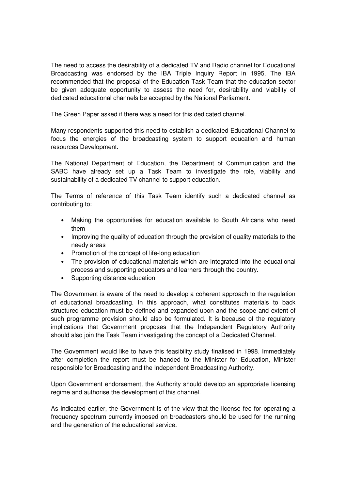The need to access the desirability of a dedicated TV and Radio channel for Educational Broadcasting was endorsed by the IBA Triple Inquiry Report in 1995. The IBA recommended that the proposal of the Education Task Team that the education sector be given adequate opportunity to assess the need for, desirability and viability of dedicated educational channels be accepted by the National Parliament.

The Green Paper asked if there was a need for this dedicated channel.

Many respondents supported this need to establish a dedicated Educational Channel to focus the energies of the broadcasting system to support education and human resources Development.

The National Department of Education, the Department of Communication and the SABC have already set up a Task Team to investigate the role, viability and sustainability of a dedicated TV channel to support education.

The Terms of reference of this Task Team identify such a dedicated channel as contributing to:

- Making the opportunities for education available to South Africans who need them
- Improving the quality of education through the provision of quality materials to the needy areas
- Promotion of the concept of life-long education
- The provision of educational materials which are integrated into the educational process and supporting educators and learners through the country.
- Supporting distance education

The Government is aware of the need to develop a coherent approach to the regulation of educational broadcasting. In this approach, what constitutes materials to back structured education must be defined and expanded upon and the scope and extent of such programme provision should also be formulated. It is because of the regulatory implications that Government proposes that the Independent Regulatory Authority should also join the Task Team investigating the concept of a Dedicated Channel.

The Government would like to have this feasibility study finalised in 1998. Immediately after completion the report must be handed to the Minister for Education, Minister responsible for Broadcasting and the Independent Broadcasting Authority.

Upon Government endorsement, the Authority should develop an appropriate licensing regime and authorise the development of this channel.

As indicated earlier, the Government is of the view that the license fee for operating a frequency spectrum currently imposed on broadcasters should be used for the running and the generation of the educational service.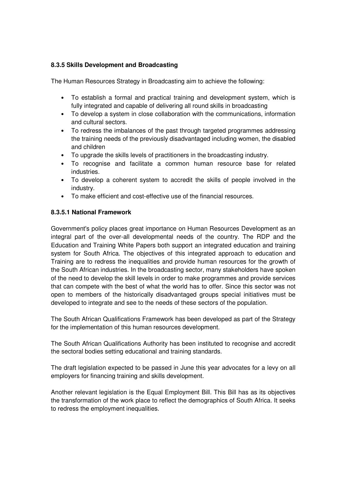### **8.3.5 Skills Development and Broadcasting**

The Human Resources Strategy in Broadcasting aim to achieve the following:

- To establish a formal and practical training and development system, which is fully integrated and capable of delivering all round skills in broadcasting
- To develop a system in close collaboration with the communications, information and cultural sectors.
- To redress the imbalances of the past through targeted programmes addressing the training needs of the previously disadvantaged including women, the disabled and children
- To upgrade the skills levels of practitioners in the broadcasting industry.
- To recognise and facilitate a common human resource base for related industries.
- To develop a coherent system to accredit the skills of people involved in the industry.
- To make efficient and cost-effective use of the financial resources.

#### **8.3.5.1 National Framework**

Government's policy places great importance on Human Resources Development as an integral part of the over-all developmental needs of the country. The RDP and the Education and Training White Papers both support an integrated education and training system for South Africa. The objectives of this integrated approach to education and Training are to redress the inequalities and provide human resources for the growth of the South African industries. In the broadcasting sector, many stakeholders have spoken of the need to develop the skill levels in order to make programmes and provide services that can compete with the best of what the world has to offer. Since this sector was not open to members of the historically disadvantaged groups special initiatives must be developed to integrate and see to the needs of these sectors of the population.

The South African Qualifications Framework has been developed as part of the Strategy for the implementation of this human resources development.

The South African Qualifications Authority has been instituted to recognise and accredit the sectoral bodies setting educational and training standards.

The draft legislation expected to be passed in June this year advocates for a levy on all employers for financing training and skills development.

Another relevant legislation is the Equal Employment Bill. This Bill has as its objectives the transformation of the work place to reflect the demographics of South Africa. It seeks to redress the employment inequalities.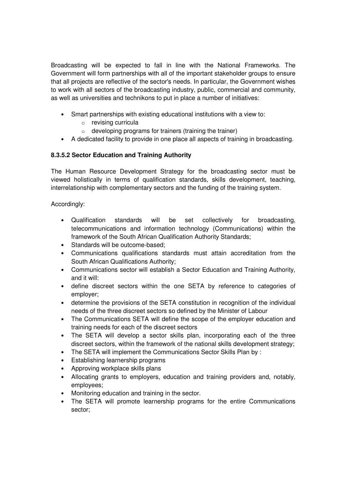Broadcasting will be expected to fall in line with the National Frameworks. The Government will form partnerships with all of the important stakeholder groups to ensure that all projects are reflective of the sector's needs. In particular, the Government wishes to work with all sectors of the broadcasting industry, public, commercial and community, as well as universities and technikons to put in place a number of initiatives:

- Smart partnerships with existing educational institutions with a view to:
	- o revising curricula
	- $\circ$  developing programs for trainers (training the trainer)
- A dedicated facility to provide in one place all aspects of training in broadcasting.

# **8.3.5.2 Sector Education and Training Authority**

The Human Resource Development Strategy for the broadcasting sector must be viewed holistically in terms of qualification standards, skills development, teaching, interrelationship with complementary sectors and the funding of the training system.

Accordingly:

- Qualification standards will be set collectively for broadcasting, telecommunications and information technology (Communications) within the framework of the South African Qualification Authority Standards;
- Standards will be outcome-based;
- Communications qualifications standards must attain accreditation from the South African Qualifications Authority;
- Communications sector will establish a Sector Education and Training Authority, and it will:
- define discreet sectors within the one SETA by reference to categories of employer;
- determine the provisions of the SETA constitution in recognition of the individual needs of the three discreet sectors so defined by the Minister of Labour
- The Communications SETA will define the scope of the employer education and training needs for each of the discreet sectors
- The SETA will develop a sector skills plan, incorporating each of the three discreet sectors, within the framework of the national skills development strategy;
- The SETA will implement the Communications Sector Skills Plan by :
- Establishing learnership programs
- Approving workplace skills plans
- Allocating grants to employers, education and training providers and, notably, employees;
- Monitoring education and training in the sector.
- The SETA will promote learnership programs for the entire Communications sector;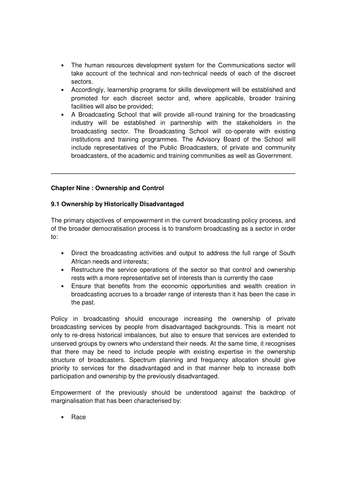- The human resources development system for the Communications sector will take account of the technical and non-technical needs of each of the discreet sectors.
- Accordingly, learnership programs for skills development will be established and promoted for each discreet sector and, where applicable, broader training facilities will also be provided;
- A Broadcasting School that will provide all-round training for the broadcasting industry will be established in partnership with the stakeholders in the broadcasting sector. The Broadcasting School will co-operate with existing institutions and training programmes. The Advisory Board of the School will include representatives of the Public Broadcasters, of private and community broadcasters, of the academic and training communities as well as Government.

#### **Chapter Nine : Ownership and Control**

#### **9.1 Ownership by Historically Disadvantaged**

The primary objectives of empowerment in the current broadcasting policy process, and of the broader democratisation process is to transform broadcasting as a sector in order to:

- Direct the broadcasting activities and output to address the full range of South African needs and interests;
- Restructure the service operations of the sector so that control and ownership rests with a more representative set of interests than is currently the case
- Ensure that benefits from the economic opportunities and wealth creation in broadcasting accrues to a broader range of interests than it has been the case in the past.

Policy in broadcasting should encourage increasing the ownership of private broadcasting services by people from disadvantaged backgrounds. This is meant not only to re-dress historical imbalances, but also to ensure that services are extended to unserved groups by owners who understand their needs. At the same time, it recognises that there may be need to include people with existing expertise in the ownership structure of broadcasters. Spectrum planning and frequency allocation should give priority to services for the disadvantaged and in that manner help to increase both participation and ownership by the previously disadvantaged.

Empowerment of the previously should be understood against the backdrop of marginalisation that has been characterised by:

• Race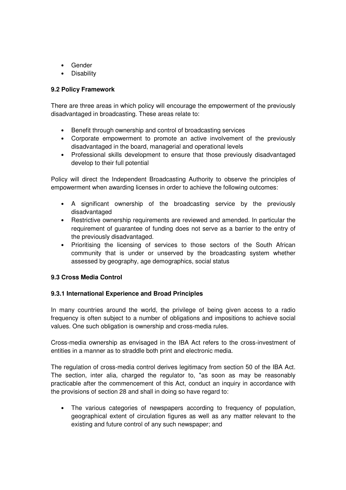- Gender
- Disability

### **9.2 Policy Framework**

There are three areas in which policy will encourage the empowerment of the previously disadvantaged in broadcasting. These areas relate to:

- Benefit through ownership and control of broadcasting services
- Corporate empowerment to promote an active involvement of the previously disadvantaged in the board, managerial and operational levels
- Professional skills development to ensure that those previously disadvantaged develop to their full potential

Policy will direct the Independent Broadcasting Authority to observe the principles of empowerment when awarding licenses in order to achieve the following outcomes:

- A significant ownership of the broadcasting service by the previously disadvantaged
- Restrictive ownership requirements are reviewed and amended. In particular the requirement of guarantee of funding does not serve as a barrier to the entry of the previously disadvantaged.
- Prioritising the licensing of services to those sectors of the South African community that is under or unserved by the broadcasting system whether assessed by geography, age demographics, social status

#### **9.3 Cross Media Control**

#### **9.3.1 International Experience and Broad Principles**

In many countries around the world, the privilege of being given access to a radio frequency is often subject to a number of obligations and impositions to achieve social values. One such obligation is ownership and cross-media rules.

Cross-media ownership as envisaged in the IBA Act refers to the cross-investment of entities in a manner as to straddle both print and electronic media.

The regulation of cross-media control derives legitimacy from section 50 of the IBA Act. The section, inter alia, charged the regulator to, "as soon as may be reasonably practicable after the commencement of this Act, conduct an inquiry in accordance with the provisions of section 28 and shall in doing so have regard to:

• The various categories of newspapers according to frequency of population, geographical extent of circulation figures as well as any matter relevant to the existing and future control of any such newspaper; and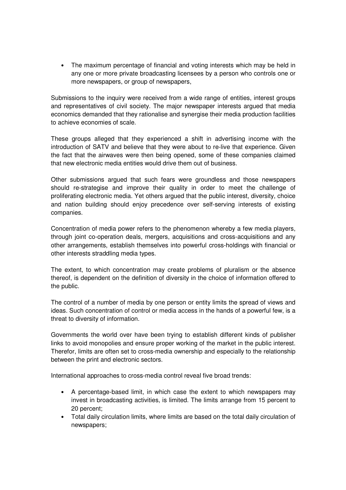• The maximum percentage of financial and voting interests which may be held in any one or more private broadcasting licensees by a person who controls one or more newspapers, or group of newspapers,

Submissions to the inquiry were received from a wide range of entities, interest groups and representatives of civil society. The major newspaper interests argued that media economics demanded that they rationalise and synergise their media production facilities to achieve economies of scale.

These groups alleged that they experienced a shift in advertising income with the introduction of SATV and believe that they were about to re-live that experience. Given the fact that the airwaves were then being opened, some of these companies claimed that new electronic media entities would drive them out of business.

Other submissions argued that such fears were groundless and those newspapers should re-strategise and improve their quality in order to meet the challenge of proliferating electronic media. Yet others argued that the public interest, diversity, choice and nation building should enjoy precedence over self-serving interests of existing companies.

Concentration of media power refers to the phenomenon whereby a few media players, through joint co-operation deals, mergers, acquisitions and cross-acquisitions and any other arrangements, establish themselves into powerful cross-holdings with financial or other interests straddling media types.

The extent, to which concentration may create problems of pluralism or the absence thereof, is dependent on the definition of diversity in the choice of information offered to the public.

The control of a number of media by one person or entity limits the spread of views and ideas. Such concentration of control or media access in the hands of a powerful few, is a threat to diversity of information.

Governments the world over have been trying to establish different kinds of publisher links to avoid monopolies and ensure proper working of the market in the public interest. Therefor, limits are often set to cross-media ownership and especially to the relationship between the print and electronic sectors.

International approaches to cross-media control reveal five broad trends:

- A percentage-based limit, in which case the extent to which newspapers may invest in broadcasting activities, is limited. The limits arrange from 15 percent to 20 percent;
- Total daily circulation limits, where limits are based on the total daily circulation of newspapers;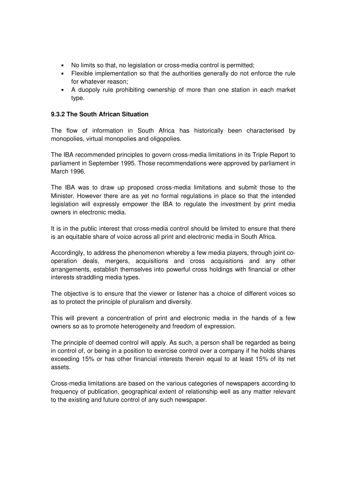- No limits so that, no legislation or cross-media control is permitted;
- Flexible implementation so that the authorities generally do not enforce the rule for whatever reason;
- A duopoly rule prohibiting ownership of more than one station in each market type.

### **9.3.2 The South African Situation**

The flow of information in South Africa has historically been characterised by monopolies, virtual monopolies and oligopolies.

The IBA recommended principles to govern cross-media limitations in its Triple Report to parliament in September 1995. Those recommendations were approved by parliament in March 1996.

The IBA was to draw up proposed cross-media limitations and submit those to the Minister. However there are as yet no formal regulations in place so that the intended legislation will expressly empower the IBA to regulate the investment by print media owners in electronic media.

It is in the public interest that cross-media control should be limited to ensure that there is an equitable share of voice across all print and electronic media in South Africa.

Accordingly, to address the phenomenon whereby a few media players, through joint cooperation deals, mergers, acquisitions and cross acquisitions and any other arrangements, establish themselves into powerful cross holdings with financial or other interests straddling media types.

The objective is to ensure that the viewer or listener has a choice of different voices so as to protect the principle of pluralism and diversity.

This will prevent a concentration of print and electronic media in the hands of a few owners so as to promote heterogeneity and freedom of expression.

The principle of deemed control will apply. As such, a person shall be regarded as being in control of, or being in a position to exercise control over a company if he holds shares exceeding 15% or has other financial interests therein equal to at least 15% of its net assets.

Cross-media limitations are based on the various categories of newspapers according to frequency of publication, geographical extent of relationship well as any matter relevant to the existing and future control of any such newspaper.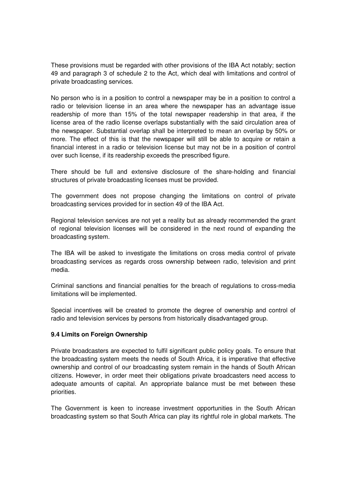These provisions must be regarded with other provisions of the IBA Act notably; section 49 and paragraph 3 of schedule 2 to the Act, which deal with limitations and control of private broadcasting services.

No person who is in a position to control a newspaper may be in a position to control a radio or television license in an area where the newspaper has an advantage issue readership of more than 15% of the total newspaper readership in that area, if the license area of the radio license overlaps substantially with the said circulation area of the newspaper. Substantial overlap shall be interpreted to mean an overlap by 50% or more. The effect of this is that the newspaper will still be able to acquire or retain a financial interest in a radio or television license but may not be in a position of control over such license, if its readership exceeds the prescribed figure.

There should be full and extensive disclosure of the share-holding and financial structures of private broadcasting licenses must be provided.

The government does not propose changing the limitations on control of private broadcasting services provided for in section 49 of the IBA Act.

Regional television services are not yet a reality but as already recommended the grant of regional television licenses will be considered in the next round of expanding the broadcasting system.

The IBA will be asked to investigate the limitations on cross media control of private broadcasting services as regards cross ownership between radio, television and print media.

Criminal sanctions and financial penalties for the breach of regulations to cross-media limitations will be implemented.

Special incentives will be created to promote the degree of ownership and control of radio and television services by persons from historically disadvantaged group.

#### **9.4 Limits on Foreign Ownership**

Private broadcasters are expected to fulfil significant public policy goals. To ensure that the broadcasting system meets the needs of South Africa, it is imperative that effective ownership and control of our broadcasting system remain in the hands of South African citizens. However, in order meet their obligations private broadcasters need access to adequate amounts of capital. An appropriate balance must be met between these priorities.

The Government is keen to increase investment opportunities in the South African broadcasting system so that South Africa can play its rightful role in global markets. The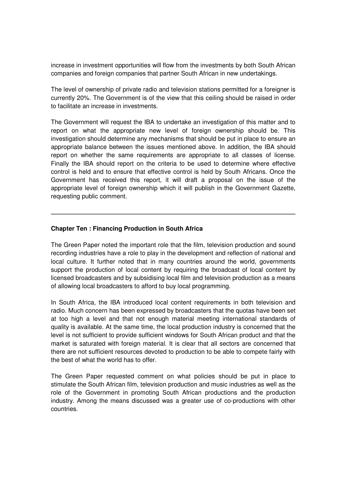increase in investment opportunities will flow from the investments by both South African companies and foreign companies that partner South African in new undertakings.

The level of ownership of private radio and television stations permitted for a foreigner is currently 20%. The Government is of the view that this ceiling should be raised in order to facilitate an increase in investments.

The Government will request the IBA to undertake an investigation of this matter and to report on what the appropriate new level of foreign ownership should be. This investigation should determine any mechanisms that should be put in place to ensure an appropriate balance between the issues mentioned above. In addition, the IBA should report on whether the same requirements are appropriate to all classes of license. Finally the IBA should report on the criteria to be used to determine where effective control is held and to ensure that effective control is held by South Africans. Once the Government has received this report, it will draft a proposal on the issue of the appropriate level of foreign ownership which it will publish in the Government Gazette. requesting public comment.

#### **Chapter Ten : Financing Production in South Africa**

The Green Paper noted the important role that the film, television production and sound recording industries have a role to play in the development and reflection of national and local culture. It further noted that in many countries around the world, governments support the production of local content by requiring the broadcast of local content by licensed broadcasters and by subsidising local film and television production as a means of allowing local broadcasters to afford to buy local programming.

In South Africa, the IBA introduced local content requirements in both television and radio. Much concern has been expressed by broadcasters that the quotas have been set at too high a level and that not enough material meeting international standards of quality is available. At the same time, the local production industry is concerned that the level is not sufficient to provide sufficient windows for South African product and that the market is saturated with foreign material. It is clear that all sectors are concerned that there are not sufficient resources devoted to production to be able to compete fairly with the best of what the world has to offer.

The Green Paper requested comment on what policies should be put in place to stimulate the South African film, television production and music industries as well as the role of the Government in promoting South African productions and the production industry. Among the means discussed was a greater use of co-productions with other countries.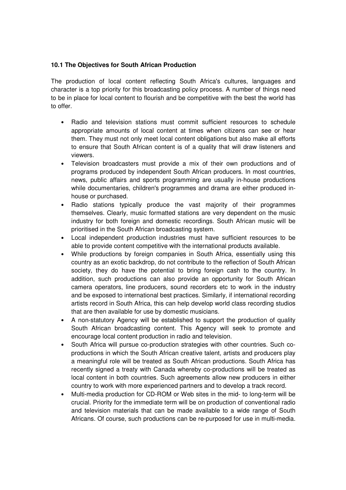### **10.1 The Objectives for South African Production**

The production of local content reflecting South Africa's cultures, languages and character is a top priority for this broadcasting policy process. A number of things need to be in place for local content to flourish and be competitive with the best the world has to offer.

- Radio and television stations must commit sufficient resources to schedule appropriate amounts of local content at times when citizens can see or hear them. They must not only meet local content obligations but also make all efforts to ensure that South African content is of a quality that will draw listeners and viewers.
- Television broadcasters must provide a mix of their own productions and of programs produced by independent South African producers. In most countries, news, public affairs and sports programming are usually in-house productions while documentaries, children's programmes and drama are either produced inhouse or purchased.
- Radio stations typically produce the vast majority of their programmes themselves. Clearly, music formatted stations are very dependent on the music industry for both foreign and domestic recordings. South African music will be prioritised in the South African broadcasting system.
- Local independent production industries must have sufficient resources to be able to provide content competitive with the international products available.
- While productions by foreign companies in South Africa, essentially using this country as an exotic backdrop, do not contribute to the reflection of South African society, they do have the potential to bring foreign cash to the country. In addition, such productions can also provide an opportunity for South African camera operators, line producers, sound recorders etc to work in the industry and be exposed to international best practices. Similarly, if international recording artists record in South Africa, this can help develop world class recording studios that are then available for use by domestic musicians.
- A non-statutory Agency will be established to support the production of quality South African broadcasting content. This Agency will seek to promote and encourage local content production in radio and television.
- South Africa will pursue co-production strategies with other countries. Such coproductions in which the South African creative talent, artists and producers play a meaningful role will be treated as South African productions. South Africa has recently signed a treaty with Canada whereby co-productions will be treated as local content in both countries. Such agreements allow new producers in either country to work with more experienced partners and to develop a track record.
- Multi-media production for CD-ROM or Web sites in the mid- to long-term will be crucial. Priority for the immediate term will be on production of conventional radio and television materials that can be made available to a wide range of South Africans. Of course, such productions can be re-purposed for use in multi-media.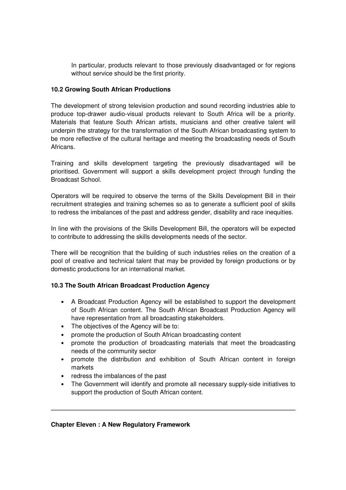In particular, products relevant to those previously disadvantaged or for regions without service should be the first priority.

### **10.2 Growing South African Productions**

The development of strong television production and sound recording industries able to produce top-drawer audio-visual products relevant to South Africa will be a priority. Materials that feature South African artists, musicians and other creative talent will underpin the strategy for the transformation of the South African broadcasting system to be more reflective of the cultural heritage and meeting the broadcasting needs of South Africans.

Training and skills development targeting the previously disadvantaged will be prioritised. Government will support a skills development project through funding the Broadcast School.

Operators will be required to observe the terms of the Skills Development Bill in their recruitment strategies and training schemes so as to generate a sufficient pool of skills to redress the imbalances of the past and address gender, disability and race inequities.

In line with the provisions of the Skills Development Bill, the operators will be expected to contribute to addressing the skills developments needs of the sector.

There will be recognition that the building of such industries relies on the creation of a pool of creative and technical talent that may be provided by foreign productions or by domestic productions for an international market.

# **10.3 The South African Broadcast Production Agency**

- A Broadcast Production Agency will be established to support the development of South African content. The South African Broadcast Production Agency will have representation from all broadcasting stakeholders.
- The objectives of the Agency will be to:
- promote the production of South African broadcasting content
- promote the production of broadcasting materials that meet the broadcasting needs of the community sector
- promote the distribution and exhibition of South African content in foreign markets
- redress the imbalances of the past
- The Government will identify and promote all necessary supply-side initiatives to support the production of South African content.

#### **Chapter Eleven : A New Regulatory Framework**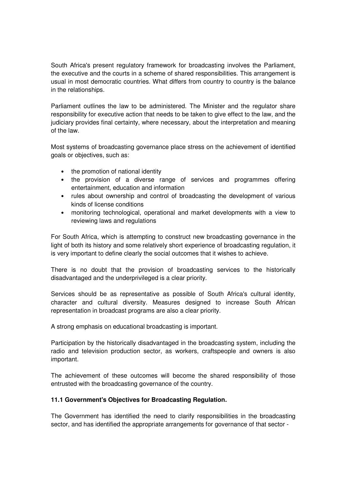South Africa's present regulatory framework for broadcasting involves the Parliament, the executive and the courts in a scheme of shared responsibilities. This arrangement is usual in most democratic countries. What differs from country to country is the balance in the relationships.

Parliament outlines the law to be administered. The Minister and the regulator share responsibility for executive action that needs to be taken to give effect to the law, and the judiciary provides final certainty, where necessary, about the interpretation and meaning of the law.

Most systems of broadcasting governance place stress on the achievement of identified goals or objectives, such as:

- the promotion of national identity
- the provision of a diverse range of services and programmes offering entertainment, education and information
- rules about ownership and control of broadcasting the development of various kinds of license conditions
- monitoring technological, operational and market developments with a view to reviewing laws and regulations

For South Africa, which is attempting to construct new broadcasting governance in the light of both its history and some relatively short experience of broadcasting regulation, it is very important to define clearly the social outcomes that it wishes to achieve.

There is no doubt that the provision of broadcasting services to the historically disadvantaged and the underprivileged is a clear priority.

Services should be as representative as possible of South Africa's cultural identity, character and cultural diversity. Measures designed to increase South African representation in broadcast programs are also a clear priority.

A strong emphasis on educational broadcasting is important.

Participation by the historically disadvantaged in the broadcasting system, including the radio and television production sector, as workers, craftspeople and owners is also important.

The achievement of these outcomes will become the shared responsibility of those entrusted with the broadcasting governance of the country.

#### **11.1 Government's Objectives for Broadcasting Regulation.**

The Government has identified the need to clarify responsibilities in the broadcasting sector, and has identified the appropriate arrangements for governance of that sector -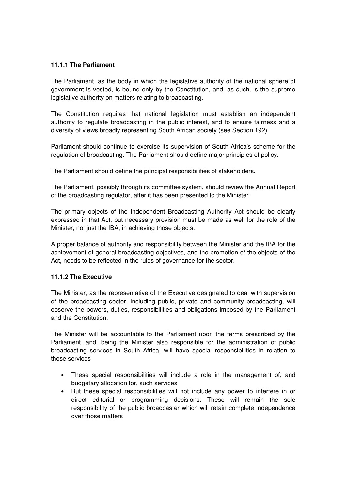#### **11.1.1 The Parliament**

The Parliament, as the body in which the legislative authority of the national sphere of government is vested, is bound only by the Constitution, and, as such, is the supreme legislative authority on matters relating to broadcasting.

The Constitution requires that national legislation must establish an independent authority to regulate broadcasting in the public interest, and to ensure fairness and a diversity of views broadly representing South African society (see Section 192).

Parliament should continue to exercise its supervision of South Africa's scheme for the regulation of broadcasting. The Parliament should define major principles of policy.

The Parliament should define the principal responsibilities of stakeholders.

The Parliament, possibly through its committee system, should review the Annual Report of the broadcasting regulator, after it has been presented to the Minister.

The primary objects of the Independent Broadcasting Authority Act should be clearly expressed in that Act, but necessary provision must be made as well for the role of the Minister, not just the IBA, in achieving those objects.

A proper balance of authority and responsibility between the Minister and the IBA for the achievement of general broadcasting objectives, and the promotion of the objects of the Act, needs to be reflected in the rules of governance for the sector.

#### **11.1.2 The Executive**

The Minister, as the representative of the Executive designated to deal with supervision of the broadcasting sector, including public, private and community broadcasting, will observe the powers, duties, responsibilities and obligations imposed by the Parliament and the Constitution.

The Minister will be accountable to the Parliament upon the terms prescribed by the Parliament, and, being the Minister also responsible for the administration of public broadcasting services in South Africa, will have special responsibilities in relation to those services

- These special responsibilities will include a role in the management of, and budgetary allocation for, such services
- But these special responsibilities will not include any power to interfere in or direct editorial or programming decisions. These will remain the sole responsibility of the public broadcaster which will retain complete independence over those matters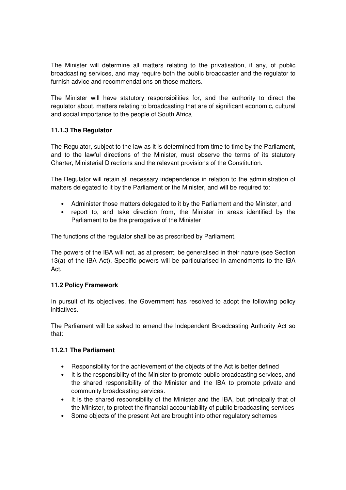The Minister will determine all matters relating to the privatisation, if any, of public broadcasting services, and may require both the public broadcaster and the regulator to furnish advice and recommendations on those matters.

The Minister will have statutory responsibilities for, and the authority to direct the regulator about, matters relating to broadcasting that are of significant economic, cultural and social importance to the people of South Africa

# **11.1.3 The Regulator**

The Regulator, subject to the law as it is determined from time to time by the Parliament, and to the lawful directions of the Minister, must observe the terms of its statutory Charter, Ministerial Directions and the relevant provisions of the Constitution.

The Regulator will retain all necessary independence in relation to the administration of matters delegated to it by the Parliament or the Minister, and will be required to:

- Administer those matters delegated to it by the Parliament and the Minister, and
- report to, and take direction from, the Minister in areas identified by the Parliament to be the prerogative of the Minister

The functions of the regulator shall be as prescribed by Parliament.

The powers of the IBA will not, as at present, be generalised in their nature (see Section 13(a) of the IBA Act). Specific powers will be particularised in amendments to the IBA Act.

#### **11.2 Policy Framework**

In pursuit of its objectives, the Government has resolved to adopt the following policy initiatives.

The Parliament will be asked to amend the Independent Broadcasting Authority Act so that:

#### **11.2.1 The Parliament**

- Responsibility for the achievement of the objects of the Act is better defined
- It is the responsibility of the Minister to promote public broadcasting services, and the shared responsibility of the Minister and the IBA to promote private and community broadcasting services.
- It is the shared responsibility of the Minister and the IBA, but principally that of the Minister, to protect the financial accountability of public broadcasting services
- Some objects of the present Act are brought into other regulatory schemes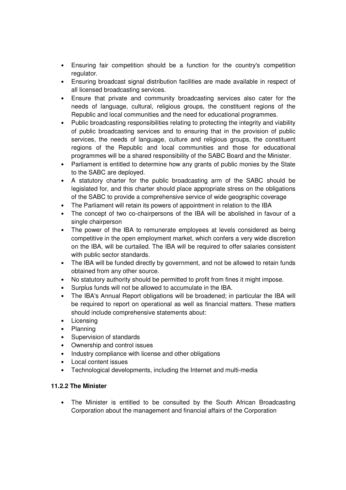- Ensuring fair competition should be a function for the country's competition regulator.
- Ensuring broadcast signal distribution facilities are made available in respect of all licensed broadcasting services.
- Ensure that private and community broadcasting services also cater for the needs of language, cultural, religious groups, the constituent regions of the Republic and local communities and the need for educational programmes.
- Public broadcasting responsibilities relating to protecting the integrity and viability of public broadcasting services and to ensuring that in the provision of public services, the needs of language, culture and religious groups, the constituent regions of the Republic and local communities and those for educational programmes will be a shared responsibility of the SABC Board and the Minister.
- Parliament is entitled to determine how any grants of public monies by the State to the SABC are deployed.
- A statutory charter for the public broadcasting arm of the SABC should be legislated for, and this charter should place appropriate stress on the obligations of the SABC to provide a comprehensive service of wide geographic coverage
- The Parliament will retain its powers of appointment in relation to the IBA
- The concept of two co-chairpersons of the IBA will be abolished in favour of a single chairperson
- The power of the IBA to remunerate employees at levels considered as being competitive in the open employment market, which confers a very wide discretion on the IBA, will be curtailed. The IBA will be required to offer salaries consistent with public sector standards.
- The IBA will be funded directly by government, and not be allowed to retain funds obtained from any other source.
- No statutory authority should be permitted to profit from fines it might impose.
- Surplus funds will not be allowed to accumulate in the IBA.
- The IBA's Annual Report obligations will be broadened; in particular the IBA will be required to report on operational as well as financial matters. These matters should include comprehensive statements about:
- Licensing
- Planning
- Supervision of standards
- Ownership and control issues
- Industry compliance with license and other obligations
- Local content issues
- Technological developments, including the Internet and multi-media

# **11.2.2 The Minister**

• The Minister is entitled to be consulted by the South African Broadcasting Corporation about the management and financial affairs of the Corporation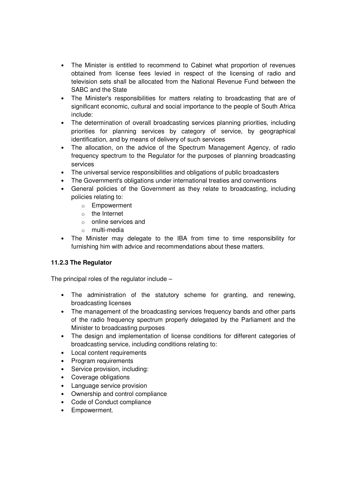- The Minister is entitled to recommend to Cabinet what proportion of revenues obtained from license fees levied in respect of the licensing of radio and television sets shall be allocated from the National Revenue Fund between the SABC and the State
- The Minister's responsibilities for matters relating to broadcasting that are of significant economic, cultural and social importance to the people of South Africa include:
- The determination of overall broadcasting services planning priorities, including priorities for planning services by category of service, by geographical identification, and by means of delivery of such services
- The allocation, on the advice of the Spectrum Management Agency, of radio frequency spectrum to the Regulator for the purposes of planning broadcasting services
- The universal service responsibilities and obligations of public broadcasters
- The Government's obligations under international treaties and conventions
- General policies of the Government as they relate to broadcasting, including policies relating to:
	- o Empowerment
	- o the Internet
	- o online services and
	- o multi-media
- The Minister may delegate to the IBA from time to time responsibility for furnishing him with advice and recommendations about these matters.

# **11.2.3 The Regulator**

The principal roles of the regulator include –

- The administration of the statutory scheme for granting, and renewing, broadcasting licenses
- The management of the broadcasting services frequency bands and other parts of the radio frequency spectrum properly delegated by the Parliament and the Minister to broadcasting purposes
- The design and implementation of license conditions for different categories of broadcasting service, including conditions relating to:
- Local content requirements
- Program requirements
- Service provision, including:
- Coverage obligations
- Language service provision
- Ownership and control compliance
- Code of Conduct compliance
- Empowerment.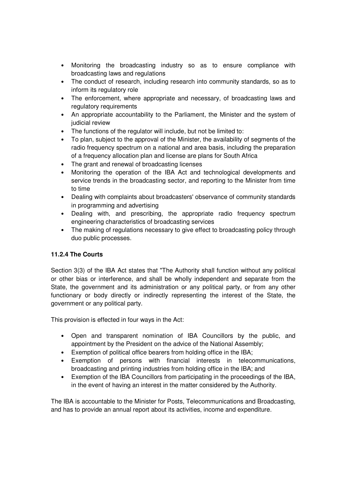- Monitoring the broadcasting industry so as to ensure compliance with broadcasting laws and regulations
- The conduct of research, including research into community standards, so as to inform its regulatory role
- The enforcement, where appropriate and necessary, of broadcasting laws and regulatory requirements
- An appropriate accountability to the Parliament, the Minister and the system of judicial review
- The functions of the regulator will include, but not be limited to:
- To plan, subject to the approval of the Minister, the availability of segments of the radio frequency spectrum on a national and area basis, including the preparation of a frequency allocation plan and license are plans for South Africa
- The grant and renewal of broadcasting licenses
- Monitoring the operation of the IBA Act and technological developments and service trends in the broadcasting sector, and reporting to the Minister from time to time
- Dealing with complaints about broadcasters' observance of community standards in programming and advertising
- Dealing with, and prescribing, the appropriate radio frequency spectrum engineering characteristics of broadcasting services
- The making of regulations necessary to give effect to broadcasting policy through duo public processes.

# **11.2.4 The Courts**

Section 3(3) of the IBA Act states that "The Authority shall function without any political or other bias or interference, and shall be wholly independent and separate from the State, the government and its administration or any political party, or from any other functionary or body directly or indirectly representing the interest of the State, the government or any political party.

This provision is effected in four ways in the Act:

- Open and transparent nomination of IBA Councillors by the public, and appointment by the President on the advice of the National Assembly;
- Exemption of political office bearers from holding office in the IBA;
- Exemption of persons with financial interests in telecommunications, broadcasting and printing industries from holding office in the IBA; and
- Exemption of the IBA Councillors from participating in the proceedings of the IBA, in the event of having an interest in the matter considered by the Authority.

The IBA is accountable to the Minister for Posts, Telecommunications and Broadcasting, and has to provide an annual report about its activities, income and expenditure.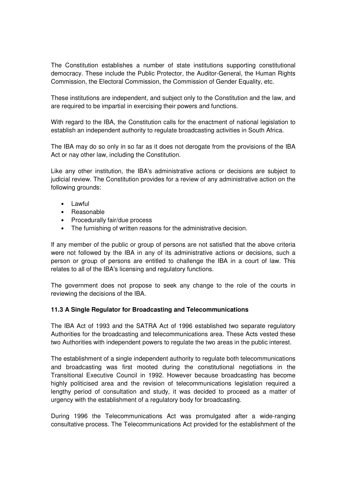The Constitution establishes a number of state institutions supporting constitutional democracy. These include the Public Protector, the Auditor-General, the Human Rights Commission, the Electoral Commission, the Commission of Gender Equality, etc.

These institutions are independent, and subject only to the Constitution and the law, and are required to be impartial in exercising their powers and functions.

With regard to the IBA, the Constitution calls for the enactment of national legislation to establish an independent authority to regulate broadcasting activities in South Africa.

The IBA may do so only in so far as it does not derogate from the provisions of the IBA Act or nay other law, including the Constitution.

Like any other institution, the IBA's administrative actions or decisions are subject to judicial review. The Constitution provides for a review of any administrative action on the following grounds:

- Lawful
- Reasonable
- Procedurally fair/due process
- The furnishing of written reasons for the administrative decision.

If any member of the public or group of persons are not satisfied that the above criteria were not followed by the IBA in any of its administrative actions or decisions, such a person or group of persons are entitled to challenge the IBA in a court of law. This relates to all of the IBA's licensing and regulatory functions.

The government does not propose to seek any change to the role of the courts in reviewing the decisions of the IBA.

#### **11.3 A Single Regulator for Broadcasting and Telecommunications**

The IBA Act of 1993 and the SATRA Act of 1996 established two separate regulatory Authorities for the broadcasting and telecommunications area. These Acts vested these two Authorities with independent powers to regulate the two areas in the public interest.

The establishment of a single independent authority to regulate both telecommunications and broadcasting was first mooted during the constitutional negotiations in the Transitional Executive Council in 1992. However because broadcasting has become highly politicised area and the revision of telecommunications legislation required a lengthy period of consultation and study, it was decided to proceed as a matter of urgency with the establishment of a regulatory body for broadcasting.

During 1996 the Telecommunications Act was promulgated after a wide-ranging consultative process. The Telecommunications Act provided for the establishment of the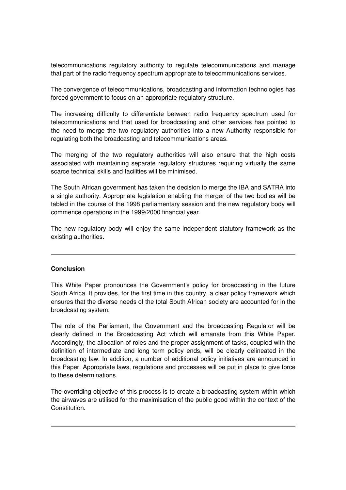telecommunications regulatory authority to regulate telecommunications and manage that part of the radio frequency spectrum appropriate to telecommunications services.

The convergence of telecommunications, broadcasting and information technologies has forced government to focus on an appropriate regulatory structure.

The increasing difficulty to differentiate between radio frequency spectrum used for telecommunications and that used for broadcasting and other services has pointed to the need to merge the two regulatory authorities into a new Authority responsible for regulating both the broadcasting and telecommunications areas.

The merging of the two regulatory authorities will also ensure that the high costs associated with maintaining separate regulatory structures requiring virtually the same scarce technical skills and facilities will be minimised.

The South African government has taken the decision to merge the IBA and SATRA into a single authority. Appropriate legislation enabling the merger of the two bodies will be tabled in the course of the 1998 parliamentary session and the new regulatory body will commence operations in the 1999/2000 financial year.

The new regulatory body will enjoy the same independent statutory framework as the existing authorities.

#### **Conclusion**

This White Paper pronounces the Government's policy for broadcasting in the future South Africa. It provides, for the first time in this country, a clear policy framework which ensures that the diverse needs of the total South African society are accounted for in the broadcasting system.

The role of the Parliament, the Government and the broadcasting Regulator will be clearly defined in the Broadcasting Act which will emanate from this White Paper. Accordingly, the allocation of roles and the proper assignment of tasks, coupled with the definition of intermediate and long term policy ends, will be clearly delineated in the broadcasting law. In addition, a number of additional policy initiatives are announced in this Paper. Appropriate laws, regulations and processes will be put in place to give force to these determinations.

The overriding objective of this process is to create a broadcasting system within which the airwaves are utilised for the maximisation of the public good within the context of the Constitution.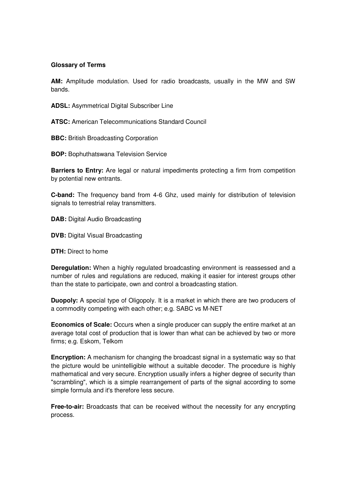#### **Glossary of Terms**

**AM:** Amplitude modulation. Used for radio broadcasts, usually in the MW and SW bands.

**ADSL:** Asymmetrical Digital Subscriber Line

**ATSC:** American Telecommunications Standard Council

**BBC:** British Broadcasting Corporation

**BOP:** Bophuthatswana Television Service

**Barriers to Entry:** Are legal or natural impediments protecting a firm from competition by potential new entrants.

**C-band:** The frequency band from 4-6 Ghz, used mainly for distribution of television signals to terrestrial relay transmitters.

**DAB:** Digital Audio Broadcasting

**DVB:** Digital Visual Broadcasting

**DTH:** Direct to home

**Deregulation:** When a highly regulated broadcasting environment is reassessed and a number of rules and regulations are reduced, making it easier for interest groups other than the state to participate, own and control a broadcasting station.

**Duopoly:** A special type of Oligopoly. It is a market in which there are two producers of a commodity competing with each other; e.g. SABC vs M-NET

**Economics of Scale:** Occurs when a single producer can supply the entire market at an average total cost of production that is lower than what can be achieved by two or more firms; e.g. Eskom, Telkom

**Encryption:** A mechanism for changing the broadcast signal in a systematic way so that the picture would be unintelligible without a suitable decoder. The procedure is highly mathematical and very secure. Encryption usually infers a higher degree of security than "scrambling", which is a simple rearrangement of parts of the signal according to some simple formula and it's therefore less secure.

**Free-to-air:** Broadcasts that can be received without the necessity for any encrypting process.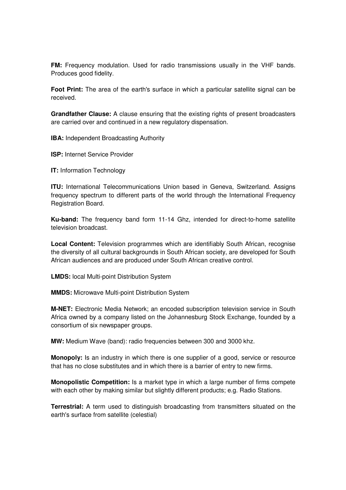**FM:** Frequency modulation. Used for radio transmissions usually in the VHF bands. Produces good fidelity.

**Foot Print:** The area of the earth's surface in which a particular satellite signal can be received.

**Grandfather Clause:** A clause ensuring that the existing rights of present broadcasters are carried over and continued in a new regulatory dispensation.

**IBA:** Independent Broadcasting Authority

**ISP:** Internet Service Provider

**IT:** Information Technology

**ITU:** International Telecommunications Union based in Geneva, Switzerland. Assigns frequency spectrum to different parts of the world through the International Frequency Registration Board.

**Ku-band:** The frequency band form 11-14 Ghz, intended for direct-to-home satellite television broadcast.

**Local Content:** Television programmes which are identifiably South African, recognise the diversity of all cultural backgrounds in South African society, are developed for South African audiences and are produced under South African creative control.

**LMDS:** local Multi-point Distribution System

**MMDS:** Microwave Multi-point Distribution System

**M-NET:** Electronic Media Network; an encoded subscription television service in South Africa owned by a company listed on the Johannesburg Stock Exchange, founded by a consortium of six newspaper groups.

**MW:** Medium Wave (band): radio frequencies between 300 and 3000 khz.

**Monopoly:** Is an industry in which there is one supplier of a good, service or resource that has no close substitutes and in which there is a barrier of entry to new firms.

**Monopolistic Competition:** Is a market type in which a large number of firms compete with each other by making similar but slightly different products; e.g. Radio Stations.

**Terrestrial:** A term used to distinguish broadcasting from transmitters situated on the earth's surface from satellite (celestial)